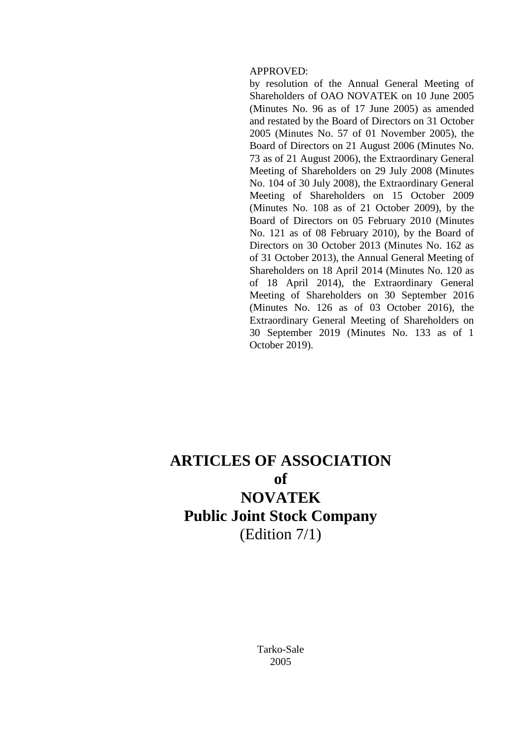#### APPROVED:

by resolution of the Annual General Meeting of Shareholders of OAO NOVATEK on 10 June 2005 (Minutes No. 96 as of 17 June 2005) as amended and restated by the Board of Directors on 31 October 2005 (Minutes No. 57 of 01 November 2005), the Board of Directors on 21 August 2006 (Minutes No. 73 as of 21 August 2006), the Extraordinary General Meeting of Shareholders on 29 July 2008 (Minutes No. 104 of 30 July 2008), the Extraordinary General Meeting of Shareholders on 15 October 2009 (Minutes No. 108 as of 21 October 2009), by the Board of Directors on 05 February 2010 (Minutes No. 121 as of 08 February 2010), by the Board of Directors on 30 October 2013 (Minutes No. 162 as of 31 October 2013), the Annual General Meeting of Shareholders on 18 April 2014 (Minutes No. 120 as of 18 April 2014), the Extraordinary General Meeting of Shareholders on 30 September 2016 (Minutes No. 126 as of 03 October 2016), the Extraordinary General Meeting of Shareholders on 30 September 2019 (Minutes No. 133 as of 1 October 2019).

# **ARTICLES OF ASSOCIATION of NOVATEK Public Joint Stock Company** (Edition 7/1)

Tarko-Sale 2005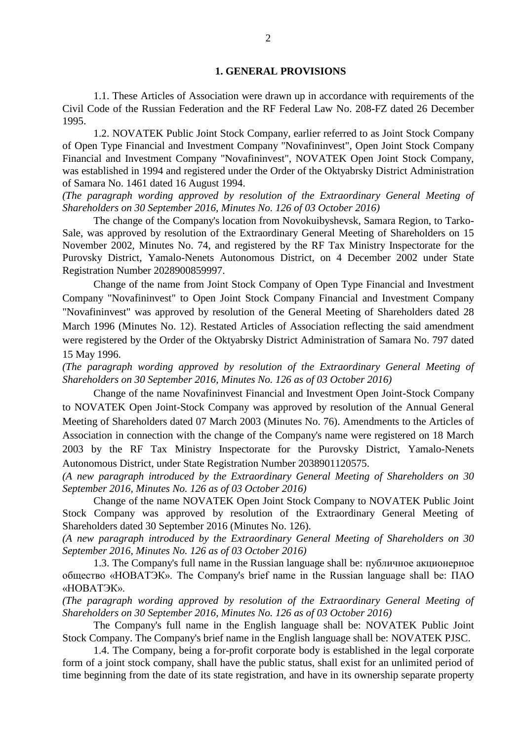#### **1. GENERAL PROVISIONS**

1.1. These Articles of Association were drawn up in accordance with requirements of the Civil Code of the Russian Federation and the RF Federal Law No. 208-FZ dated 26 December 1995.

1.2. NOVATEK Public Joint Stock Company, earlier referred to as Joint Stock Company of Open Type Financial and Investment Company "Novafininvest", Open Joint Stock Company Financial and Investment Company "Novafininvest", NOVATEK Open Joint Stock Company, was established in 1994 and registered under the Order of the Oktyabrsky District Administration of Samara No. 1461 dated 16 August 1994.

*(The paragraph wording approved by resolution of the Extraordinary General Meeting of Shareholders on 30 September 2016, Minutes No. 126 of 03 October 2016)*

The change of the Company's location from Novokuibyshevsk, Samara Region, to Tarko-Sale, was approved by resolution of the Extraordinary General Meeting of Shareholders on 15 November 2002, Minutes No. 74, and registered by the RF Tax Ministry Inspectorate for the Purovsky District, Yamalo-Nenets Autonomous District, on 4 December 2002 under State Registration Number 2028900859997.

Change of the name from Joint Stock Company of Open Type Financial and Investment Company "Novafininvest" to Open Joint Stock Company Financial and Investment Company "Novafininvest" was approved by resolution of the General Meeting of Shareholders dated 28 March 1996 (Minutes No. 12). Restated Articles of Association reflecting the said amendment were registered by the Order of the Oktyabrsky District Administration of Samara No. 797 dated 15 May 1996.

*(The paragraph wording approved by resolution of the Extraordinary General Meeting of Shareholders on 30 September 2016, Minutes No. 126 as of 03 October 2016)*

Change of the name Novafininvest Financial and Investment Open Joint-Stock Company to NOVATEK Open Joint-Stock Company was approved by resolution of the Annual General Meeting of Shareholders dated 07 March 2003 (Minutes No. 76). Amendments to the Articles of Association in connection with the change of the Company's name were registered on 18 March 2003 by the RF Tax Ministry Inspectorate for the Purovsky District, Yamalo-Nenets Autonomous District, under State Registration Number 2038901120575.

*(A new paragraph introduced by the Extraordinary General Meeting of Shareholders on 30 September 2016, Minutes No. 126 as of 03 October 2016)*

Change of the name NOVATEK Open Joint Stock Company to NOVATEK Public Joint Stock Company was approved by resolution of the Extraordinary General Meeting of Shareholders dated 30 September 2016 (Minutes No. 126).

*(A new paragraph introduced by the Extraordinary General Meeting of Shareholders on 30 September 2016, Minutes No. 126 as of 03 October 2016)*

1.3. The Company's full name in the Russian language shall be: публичное акционерное общество «НОВАТЭК». The Company's brief name in the Russian language shall be: ПАО «НОВАТЭК».

*(The paragraph wording approved by resolution of the Extraordinary General Meeting of Shareholders on 30 September 2016, Minutes No. 126 as of 03 October 2016)*

The Company's full name in the English language shall be: NOVATEK Public Joint Stock Company. The Company's brief name in the English language shall be: NOVATEK PJSC.

1.4. The Company, being a for-profit corporate body is established in the legal corporate form of a joint stock company, shall have the public status, shall exist for an unlimited period of time beginning from the date of its state registration, and have in its ownership separate property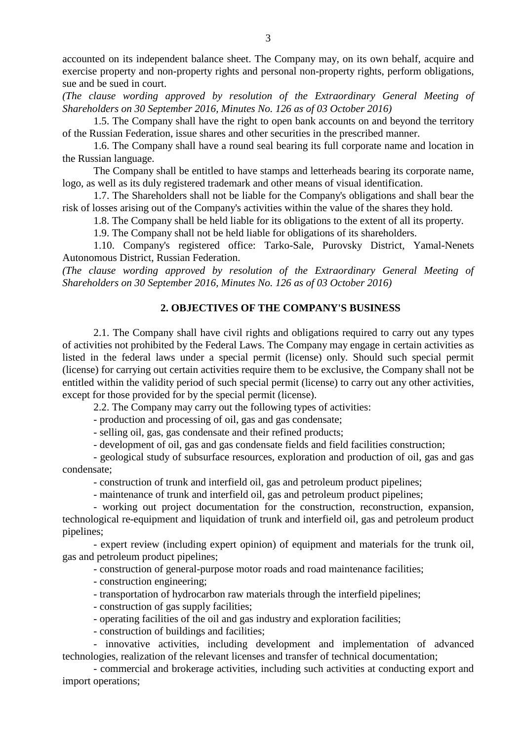accounted on its independent balance sheet. The Company may, on its own behalf, acquire and exercise property and non-property rights and personal non-property rights, perform obligations, sue and be sued in court.

*(The clause wording approved by resolution of the Extraordinary General Meeting of Shareholders on 30 September 2016, Minutes No. 126 as of 03 October 2016)*

1.5. The Company shall have the right to open bank accounts on and beyond the territory of the Russian Federation, issue shares and other securities in the prescribed manner.

1.6. The Company shall have a round seal bearing its full corporate name and location in the Russian language.

The Company shall be entitled to have stamps and letterheads bearing its corporate name, logo, as well as its duly registered trademark and other means of visual identification.

1.7. The Shareholders shall not be liable for the Company's obligations and shall bear the risk of losses arising out of the Company's activities within the value of the shares they hold.

1.8. The Company shall be held liable for its obligations to the extent of all its property.

1.9. The Company shall not be held liable for obligations of its shareholders.

1.10. Company's registered office: Tarko-Sale, Purovsky District, Yamal-Nenets Autonomous District, Russian Federation.

*(The clause wording approved by resolution of the Extraordinary General Meeting of Shareholders on 30 September 2016, Minutes No. 126 as of 03 October 2016)*

# **2. OBJECTIVES OF THE COMPANY'S BUSINESS**

2.1. The Company shall have civil rights and obligations required to carry out any types of activities not prohibited by the Federal Laws. The Company may engage in certain activities as listed in the federal laws under a special permit (license) only. Should such special permit (license) for carrying out certain activities require them to be exclusive, the Company shall not be entitled within the validity period of such special permit (license) to carry out any other activities, except for those provided for by the special permit (license).

2.2. The Company may carry out the following types of activities:

- production and processing of oil, gas and gas condensate;

- selling oil, gas, gas condensate and their refined products;

- development of oil, gas and gas condensate fields and field facilities construction;

- geological study of subsurface resources, exploration and production of oil, gas and gas condensate;

- construction of trunk and interfield oil, gas and petroleum product pipelines;

- maintenance of trunk and interfield oil, gas and petroleum product pipelines;

- working out project documentation for the construction, reconstruction, expansion, technological re-equipment and liquidation of trunk and interfield oil, gas and petroleum product pipelines;

- expert review (including expert opinion) of equipment and materials for the trunk oil, gas and petroleum product pipelines;

- construction of general-purpose motor roads and road maintenance facilities;

- construction engineering;

- transportation of hydrocarbon raw materials through the interfield pipelines;

- construction of gas supply facilities;

- operating facilities of the oil and gas industry and exploration facilities;

- construction of buildings and facilities;

- innovative activities, including development and implementation of advanced technologies, realization of the relevant licenses and transfer of technical documentation;

- commercial and brokerage activities, including such activities at conducting export and import operations;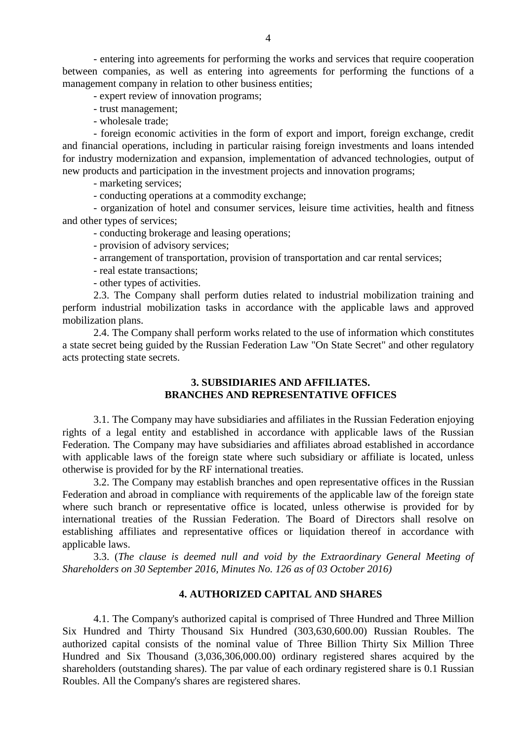- entering into agreements for performing the works and services that require cooperation between companies, as well as entering into agreements for performing the functions of a management company in relation to other business entities;

- expert review of innovation programs;

- trust management;

- wholesale trade;

- foreign economic activities in the form of export and import, foreign exchange, credit and financial operations, including in particular raising foreign investments and loans intended for industry modernization and expansion, implementation of advanced technologies, output of new products and participation in the investment projects and innovation programs;

- marketing services;

- conducting operations at a commodity exchange;

- organization of hotel and consumer services, leisure time activities, health and fitness and other types of services;

- conducting brokerage and leasing operations;

- provision of advisory services;

- arrangement of transportation, provision of transportation and car rental services;

- real estate transactions;

- other types of activities.

2.3. The Company shall perform duties related to industrial mobilization training and perform industrial mobilization tasks in accordance with the applicable laws and approved mobilization plans.

2.4. The Company shall perform works related to the use of information which constitutes a state secret being guided by the Russian Federation Law "On State Secret" and other regulatory acts protecting state secrets.

## **3. SUBSIDIARIES AND AFFILIATES. BRANCHES AND REPRESENTATIVE OFFICES**

3.1. The Company may have subsidiaries and affiliates in the Russian Federation enjoying rights of a legal entity and established in accordance with applicable laws of the Russian Federation. The Company may have subsidiaries and affiliates abroad established in accordance with applicable laws of the foreign state where such subsidiary or affiliate is located, unless otherwise is provided for by the RF international treaties.

3.2. The Company may establish branches and open representative offices in the Russian Federation and abroad in compliance with requirements of the applicable law of the foreign state where such branch or representative office is located, unless otherwise is provided for by international treaties of the Russian Federation. The Board of Directors shall resolve on establishing affiliates and representative offices or liquidation thereof in accordance with applicable laws.

3.3. (*The clause is deemed null and void by the Extraordinary General Meeting of Shareholders on 30 September 2016, Minutes No. 126 as of 03 October 2016)*

## **4. AUTHORIZED CAPITAL AND SHARES**

4.1. The Company's authorized capital is comprised of Three Hundred and Three Million Six Hundred and Thirty Thousand Six Hundred (303,630,600.00) Russian Roubles. The authorized capital consists of the nominal value of Three Billion Thirty Six Million Three Hundred and Six Thousand (3,036,306,000.00) ordinary registered shares acquired by the shareholders (outstanding shares). The par value of each ordinary registered share is 0.1 Russian Roubles. All the Company's shares are registered shares.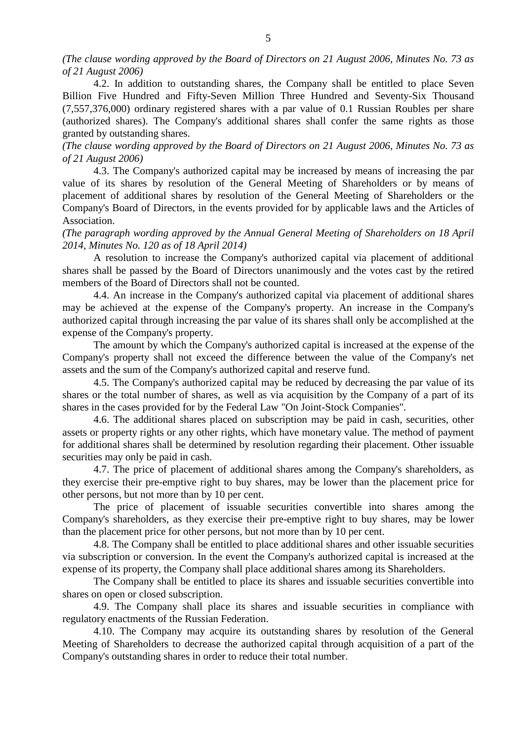*(The clause wording approved by the Board of Directors on 21 August 2006, Minutes No. 73 as of 21 August 2006)*

4.2. In addition to outstanding shares, the Company shall be entitled to place Seven Billion Five Hundred and Fifty-Seven Million Three Hundred and Seventy-Six Thousand (7,557,376,000) ordinary registered shares with a par value of 0.1 Russian Roubles per share (authorized shares). The Company's additional shares shall confer the same rights as those granted by outstanding shares.

*(The clause wording approved by the Board of Directors on 21 August 2006, Minutes No. 73 as of 21 August 2006)*

4.3. The Company's authorized capital may be increased by means of increasing the par value of its shares by resolution of the General Meeting of Shareholders or by means of placement of additional shares by resolution of the General Meeting of Shareholders or the Company's Board of Directors, in the events provided for by applicable laws and the Articles of Association.

*(The paragraph wording approved by the Annual General Meeting of Shareholders on 18 April 2014, Minutes No. 120 as of 18 April 2014)*

A resolution to increase the Company's authorized capital via placement of additional shares shall be passed by the Board of Directors unanimously and the votes cast by the retired members of the Board of Directors shall not be counted.

4.4. An increase in the Company's authorized capital via placement of additional shares may be achieved at the expense of the Company's property. An increase in the Company's authorized capital through increasing the par value of its shares shall only be accomplished at the expense of the Company's property.

The amount by which the Company's authorized capital is increased at the expense of the Company's property shall not exceed the difference between the value of the Company's net assets and the sum of the Company's authorized capital and reserve fund.

4.5. The Company's authorized capital may be reduced by decreasing the par value of its shares or the total number of shares, as well as via acquisition by the Company of a part of its shares in the cases provided for by the Federal Law "On Joint-Stock Companies".

4.6. The additional shares placed on subscription may be paid in cash, securities, other assets or property rights or any other rights, which have monetary value. The method of payment for additional shares shall be determined by resolution regarding their placement. Other issuable securities may only be paid in cash.

4.7. The price of placement of additional shares among the Company's shareholders, as they exercise their pre-emptive right to buy shares, may be lower than the placement price for other persons, but not more than by 10 per cent.

The price of placement of issuable securities convertible into shares among the Company's shareholders, as they exercise their pre-emptive right to buy shares, may be lower than the placement price for other persons, but not more than by 10 per cent.

4.8. The Company shall be entitled to place additional shares and other issuable securities via subscription or conversion. In the event the Company's authorized capital is increased at the expense of its property, the Company shall place additional shares among its Shareholders.

The Company shall be entitled to place its shares and issuable securities convertible into shares on open or closed subscription.

4.9. The Company shall place its shares and issuable securities in compliance with regulatory enactments of the Russian Federation.

4.10. The Company may acquire its outstanding shares by resolution of the General Meeting of Shareholders to decrease the authorized capital through acquisition of a part of the Company's outstanding shares in order to reduce their total number.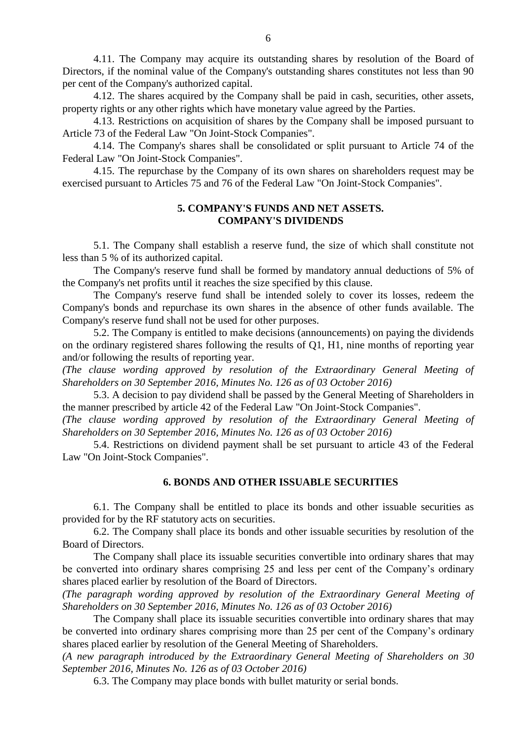4.11. The Company may acquire its outstanding shares by resolution of the Board of Directors, if the nominal value of the Company's outstanding shares constitutes not less than 90 per cent of the Company's authorized capital.

4.12. The shares acquired by the Company shall be paid in cash, securities, other assets, property rights or any other rights which have monetary value agreed by the Parties.

4.13. Restrictions on acquisition of shares by the Company shall be imposed pursuant to Article 73 of the Federal Law "On Joint-Stock Companies".

4.14. The Company's shares shall be consolidated or split pursuant to Article 74 of the Federal Law "On Joint-Stock Companies".

4.15. The repurchase by the Company of its own shares on shareholders request may be exercised pursuant to Articles 75 and 76 of the Federal Law "On Joint-Stock Companies".

## **5. COMPANY'S FUNDS AND NET ASSETS. COMPANY'S DIVIDENDS**

5.1. The Company shall establish a reserve fund, the size of which shall constitute not less than 5 % of its authorized capital.

The Company's reserve fund shall be formed by mandatory annual deductions of 5% of the Company's net profits until it reaches the size specified by this clause.

The Company's reserve fund shall be intended solely to cover its losses, redeem the Company's bonds and repurchase its own shares in the absence of other funds available. The Company's reserve fund shall not be used for other purposes.

5.2. The Company is entitled to make decisions (announcements) on paying the dividends on the ordinary registered shares following the results of Q1, H1, nine months of reporting year and/or following the results of reporting year.

*(The clause wording approved by resolution of the Extraordinary General Meeting of Shareholders on 30 September 2016, Minutes No. 126 as of 03 October 2016)*

5.3. A decision to pay dividend shall be passed by the General Meeting of Shareholders in the manner prescribed by article 42 of the Federal Law "On Joint-Stock Companies".

*(The clause wording approved by resolution of the Extraordinary General Meeting of Shareholders on 30 September 2016, Minutes No. 126 as of 03 October 2016)*

5.4. Restrictions on dividend payment shall be set pursuant to article 43 of the Federal Law "On Joint-Stock Companies".

#### **6. BONDS AND OTHER ISSUABLE SECURITIES**

6.1. The Company shall be entitled to place its bonds and other issuable securities as provided for by the RF statutory acts on securities.

6.2. The Company shall place its bonds and other issuable securities by resolution of the Board of Directors.

The Company shall place its issuable securities convertible into ordinary shares that may be converted into ordinary shares comprising 25 and less per cent of the Company's ordinary shares placed earlier by resolution of the Board of Directors.

*(The paragraph wording approved by resolution of the Extraordinary General Meeting of Shareholders on 30 September 2016, Minutes No. 126 as of 03 October 2016)*

The Company shall place its issuable securities convertible into ordinary shares that may be converted into ordinary shares comprising more than 25 per cent of the Company's ordinary shares placed earlier by resolution of the General Meeting of Shareholders.

*(A new paragraph introduced by the Extraordinary General Meeting of Shareholders on 30 September 2016, Minutes No. 126 as of 03 October 2016)*

6.3. The Company may place bonds with bullet maturity or serial bonds.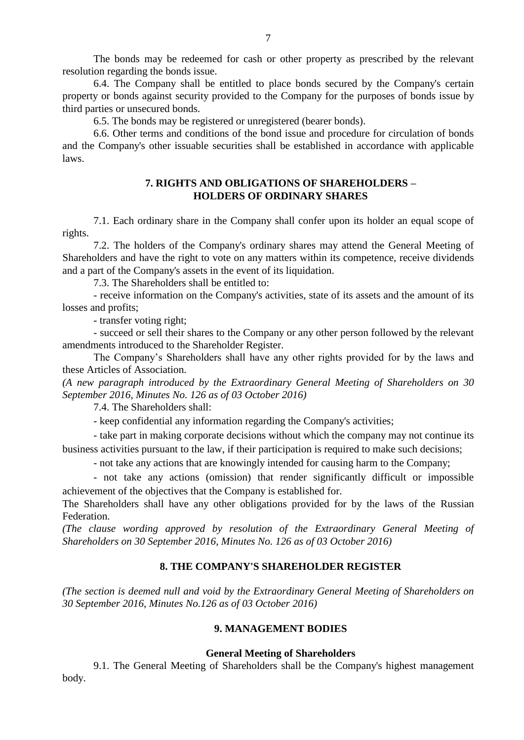The bonds may be redeemed for cash or other property as prescribed by the relevant resolution regarding the bonds issue.

6.4. The Company shall be entitled to place bonds secured by the Company's certain property or bonds against security provided to the Company for the purposes of bonds issue by third parties or unsecured bonds.

6.5. The bonds may be registered or unregistered (bearer bonds).

6.6. Other terms and conditions of the bond issue and procedure for circulation of bonds and the Company's other issuable securities shall be established in accordance with applicable laws.

# **7. RIGHTS AND OBLIGATIONS OF SHAREHOLDERS – HOLDERS OF ORDINARY SHARES**

7.1. Each ordinary share in the Company shall confer upon its holder an equal scope of rights.

7.2. The holders of the Company's ordinary shares may attend the General Meeting of Shareholders and have the right to vote on any matters within its competence, receive dividends and a part of the Company's assets in the event of its liquidation.

7.3. The Shareholders shall be entitled to:

- receive information on the Company's activities, state of its assets and the amount of its losses and profits;

- transfer voting right;

- succeed or sell their shares to the Company or any other person followed by the relevant amendments introduced to the Shareholder Register.

The Company's Shareholders shall have any other rights provided for by the laws and these Articles of Association.

*(A new paragraph introduced by the Extraordinary General Meeting of Shareholders on 30 September 2016, Minutes No. 126 as of 03 October 2016)*

7.4. The Shareholders shall:

- keep confidential any information regarding the Company's activities;

- take part in making corporate decisions without which the company may not continue its business activities pursuant to the law, if their participation is required to make such decisions;

- not take any actions that are knowingly intended for causing harm to the Company;

- not take any actions (omission) that render significantly difficult or impossible achievement of the objectives that the Company is established for.

The Shareholders shall have any other obligations provided for by the laws of the Russian Federation.

*(The clause wording approved by resolution of the Extraordinary General Meeting of Shareholders on 30 September 2016, Minutes No. 126 as of 03 October 2016)*

## **8. THE COMPANY'S SHAREHOLDER REGISTER**

*(The section is deemed null and void by the Extraordinary General Meeting of Shareholders on 30 September 2016, Minutes No.126 as of 03 October 2016)*

#### **9. MANAGEMENT BODIES**

#### **General Meeting of Shareholders**

9.1. The General Meeting of Shareholders shall be the Company's highest management body.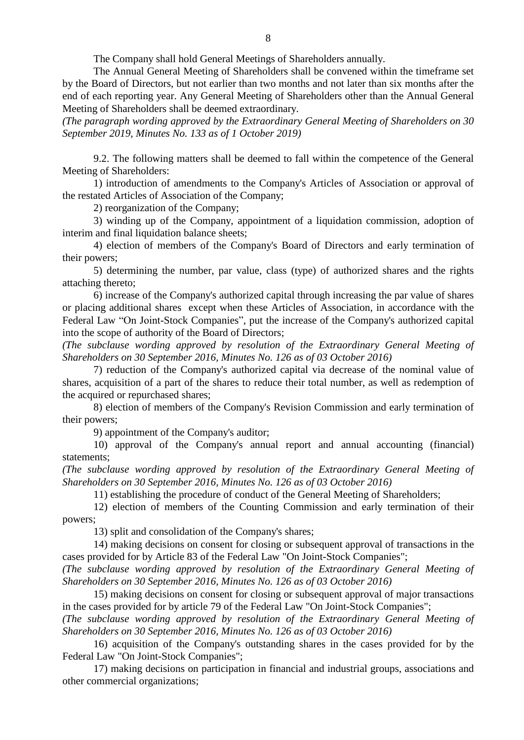The Company shall hold General Meetings of Shareholders annually.

The Annual General Meeting of Shareholders shall be convened within the timeframe set by the Board of Directors, but not earlier than two months and not later than six months after the end of each reporting year. Any General Meeting of Shareholders other than the Annual General Meeting of Shareholders shall be deemed extraordinary.

*(The paragraph wording approved by the Extraordinary General Meeting of Shareholders on 30 September 2019, Minutes No. 133 as of 1 October 2019)*

9.2. The following matters shall be deemed to fall within the competence of the General Meeting of Shareholders:

1) introduction of amendments to the Company's Articles of Association or approval of the restated Articles of Association of the Company;

2) reorganization of the Company;

3) winding up of the Company, appointment of a liquidation commission, adoption of interim and final liquidation balance sheets;

4) election of members of the Company's Board of Directors and early termination of their powers;

5) determining the number, par value, class (type) of authorized shares and the rights attaching thereto;

6) increase of the Company's authorized capital through increasing the par value of shares or placing additional shares except when these Articles of Association, in accordance with the Federal Law "On Joint-Stock Companies", put the increase of the Company's authorized capital into the scope of authority of the Board of Directors;

*(The subclause wording approved by resolution of the Extraordinary General Meeting of Shareholders on 30 September 2016, Minutes No. 126 as of 03 October 2016)*

7) reduction of the Company's authorized capital via decrease of the nominal value of shares, acquisition of a part of the shares to reduce their total number, as well as redemption of the acquired or repurchased shares;

8) election of members of the Company's Revision Commission and early termination of their powers;

9) appointment of the Company's auditor;

10) approval of the Company's annual report and annual accounting (financial) statements;

*(The subclause wording approved by resolution of the Extraordinary General Meeting of Shareholders on 30 September 2016, Minutes No. 126 as of 03 October 2016)*

11) establishing the procedure of conduct of the General Meeting of Shareholders;

12) election of members of the Counting Commission and early termination of their powers;

13) split and consolidation of the Company's shares;

14) making decisions on consent for closing or subsequent approval of transactions in the cases provided for by Article 83 of the Federal Law "On Joint-Stock Companies";

*(The subclause wording approved by resolution of the Extraordinary General Meeting of Shareholders on 30 September 2016, Minutes No. 126 as of 03 October 2016)*

15) making decisions on consent for closing or subsequent approval of major transactions in the cases provided for by article 79 of the Federal Law "On Joint-Stock Companies";

*(The subclause wording approved by resolution of the Extraordinary General Meeting of Shareholders on 30 September 2016, Minutes No. 126 as of 03 October 2016)*

16) acquisition of the Company's outstanding shares in the cases provided for by the Federal Law "On Joint-Stock Companies";

17) making decisions on participation in financial and industrial groups, associations and other commercial organizations;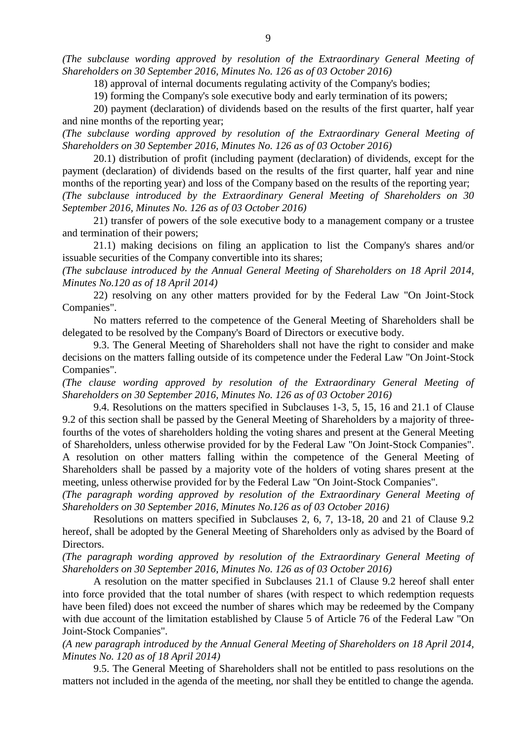*(The subclause wording approved by resolution of the Extraordinary General Meeting of Shareholders on 30 September 2016, Minutes No. 126 as of 03 October 2016)*

18) approval of internal documents regulating activity of the Company's bodies;

19) forming the Company's sole executive body and early termination of its powers;

20) payment (declaration) of dividends based on the results of the first quarter, half year and nine months of the reporting year;

*(The subclause wording approved by resolution of the Extraordinary General Meeting of Shareholders on 30 September 2016, Minutes No. 126 as of 03 October 2016)*

20.1) distribution of profit (including payment (declaration) of dividends, except for the payment (declaration) of dividends based on the results of the first quarter, half year and nine months of the reporting year) and loss of the Company based on the results of the reporting year; *(The subclause introduced by the Extraordinary General Meeting of Shareholders on 30 September 2016, Minutes No. 126 as of 03 October 2016)*

21) transfer of powers of the sole executive body to a management company or a trustee and termination of their powers;

21.1) making decisions on filing an application to list the Company's shares and/or issuable securities of the Company convertible into its shares;

*(The subclause introduced by the Annual General Meeting of Shareholders on 18 April 2014, Minutes No.120 as of 18 April 2014)*

22) resolving on any other matters provided for by the Federal Law "On Joint-Stock Companies".

No matters referred to the competence of the General Meeting of Shareholders shall be delegated to be resolved by the Company's Board of Directors or executive body.

9.3. The General Meeting of Shareholders shall not have the right to consider and make decisions on the matters falling outside of its competence under the Federal Law "On Joint-Stock Companies".

*(The clause wording approved by resolution of the Extraordinary General Meeting of Shareholders on 30 September 2016, Minutes No. 126 as of 03 October 2016)*

9.4. Resolutions on the matters specified in Subclauses 1-3, 5, 15, 16 and 21.1 of Clause 9.2 of this section shall be passed by the General Meeting of Shareholders by a majority of threefourths of the votes of shareholders holding the voting shares and present at the General Meeting of Shareholders, unless otherwise provided for by the Federal Law "On Joint-Stock Companies". A resolution on other matters falling within the competence of the General Meeting of Shareholders shall be passed by a majority vote of the holders of voting shares present at the

meeting, unless otherwise provided for by the Federal Law "On Joint-Stock Companies". *(The paragraph wording approved by resolution of the Extraordinary General Meeting of* 

*Shareholders on 30 September 2016, Minutes No.126 as of 03 October 2016)*

Resolutions on matters specified in Subclauses 2, 6, 7, 13-18, 20 and 21 of Clause 9.2 hereof, shall be adopted by the General Meeting of Shareholders only as advised by the Board of Directors.

*(The paragraph wording approved by resolution of the Extraordinary General Meeting of Shareholders on 30 September 2016, Minutes No. 126 as of 03 October 2016)*

A resolution on the matter specified in [Subclauses 21.1 of Clause 9.2](consultantplus://offline/ref=4461179F46314E924976B81F9009020B6A43D9588906286A902F0C5E0FD8D9E6EA2953AEA7B7C176eDtAH) hereof shall enter into force provided that the total number of shares (with respect to which redemption requests have been filed) does not exceed the number of shares which may be redeemed by the Company with due account of the limitation established by Clause [5 of Article 76 o](consultantplus://offline/ref=4461179F46314E924976B81F9009020B6A43D9588906286A902F0C5E0FD8D9E6EA2953AEA7B6C678eDt4H)f the Federal Law "On Joint-Stock Companies".

*(A new paragraph introduced by the Annual General Meeting of Shareholders on 18 April 2014, Minutes No. 120 as of 18 April 2014)*

9.5. The General Meeting of Shareholders shall not be entitled to pass resolutions on the matters not included in the agenda of the meeting, nor shall they be entitled to change the agenda.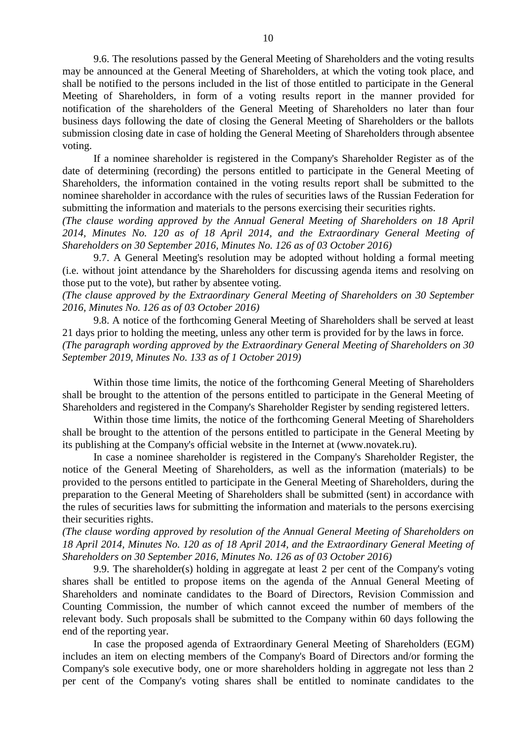9.6. The resolutions passed by the General Meeting of Shareholders and the voting results may be announced at the General Meeting of Shareholders, at which the voting took place, and shall be notified to the persons included in the list of those entitled to participate in the General Meeting of Shareholders, in form of a voting results report in the manner provided for notification of the shareholders of the General Meeting of Shareholders no later than four business days following the date of closing the General Meeting of Shareholders or the ballots submission closing date in case of holding the General Meeting of Shareholders through absentee voting.

If a nominee shareholder is registered in the Company's Shareholder Register as of the date of determining (recording) the persons entitled to participate in the General Meeting of Shareholders, the information contained in the voting results report shall be submitted to the nominee shareholder in accordance with the rules of securities laws of the Russian Federation for submitting the information and materials to the persons exercising their securities rights.

*(The clause wording approved by the Annual General Meeting of Shareholders on 18 April 2014, Minutes No. 120 as of 18 April 2014, and the Extraordinary General Meeting of Shareholders on 30 September 2016, Minutes No. 126 as of 03 October 2016)*

9.7. A General Meeting's resolution may be adopted without holding a formal meeting (i.e. without joint attendance by the Shareholders for discussing agenda items and resolving on those put to the vote), but rather by absentee voting.

*(The clause approved by the Extraordinary General Meeting of Shareholders on 30 September 2016, Minutes No. 126 as of 03 October 2016)*

9.8. A notice of the forthcoming General Meeting of Shareholders shall be served at least 21 days prior to holding the meeting, unless any other term is provided for by the laws in force. *(The paragraph wording approved by the Extraordinary General Meeting of Shareholders on 30 September 2019, Minutes No. 133 as of 1 October 2019)*

Within those time limits, the notice of the forthcoming General Meeting of Shareholders shall be brought to the attention of the persons entitled to participate in the General Meeting of Shareholders and registered in the Company's Shareholder Register by sending registered letters.

Within those time limits, the notice of the forthcoming General Meeting of Shareholders shall be brought to the attention of the persons entitled to participate in the General Meeting by its publishing at the Company's official website in the Internet at [\(www.novatek.ru\)](http://www.novatek.ru/).

In case a nominee shareholder is registered in the Company's Shareholder Register, the notice of the General Meeting of Shareholders, as well as the information (materials) to be provided to the persons entitled to participate in the General Meeting of Shareholders, during the preparation to the General Meeting of Shareholders shall be submitted (sent) in accordance with the rules of securities laws for submitting the information and materials to the persons exercising their securities rights.

*(The clause wording approved by resolution of the Annual General Meeting of Shareholders on 18 April 2014, Minutes No. 120 as of 18 April 2014, and the Extraordinary General Meeting of Shareholders on 30 September 2016, Minutes No. 126 as of 03 October 2016)*

9.9. The shareholder(s) holding in aggregate at least 2 per cent of the Company's voting shares shall be entitled to propose items on the agenda of the Annual General Meeting of Shareholders and nominate candidates to the Board of Directors, Revision Commission and Counting Commission, the number of which cannot exceed the number of members of the relevant body. Such proposals shall be submitted to the Company within 60 days following the end of the reporting year.

In case the proposed agenda of Extraordinary General Meeting of Shareholders (EGM) includes an item on electing members of the Company's Board of Directors and/or forming the Company's sole executive body, one or more shareholders holding in aggregate not less than 2 per cent of the Company's voting shares shall be entitled to nominate candidates to the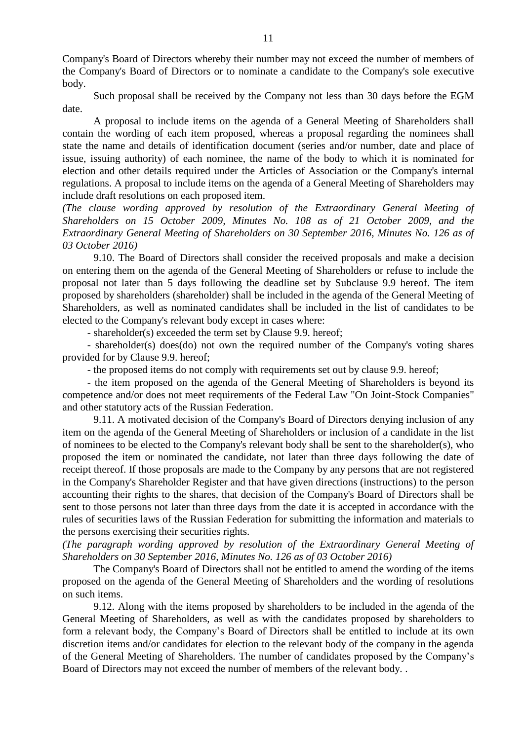Company's Board of Directors whereby their number may not exceed the number of members of the Company's Board of Directors or to nominate a candidate to the Company's sole executive body.

Such proposal shall be received by the Company not less than 30 days before the EGM date.

A proposal to include items on the agenda of a General Meeting of Shareholders shall contain the wording of each item proposed, whereas a proposal regarding the nominees shall state the name and details of identification document (series and/or number, date and place of issue, issuing authority) of each nominee, the name of the body to which it is nominated for election and other details required under the Articles of Association or the Company's internal regulations. A proposal to include items on the agenda of a General Meeting of Shareholders may include draft resolutions on each proposed item.

*(The clause wording approved by resolution of the Extraordinary General Meeting of Shareholders on 15 October 2009, Minutes No. 108 as of 21 October 2009, and the Extraordinary General Meeting of Shareholders on 30 September 2016, Minutes No. 126 as of 03 October 2016)*

9.10. The Board of Directors shall consider the received proposals and make a decision on entering them on the agenda of the General Meeting of Shareholders or refuse to include the proposal not later than 5 days following the deadline set by Subclause 9.9 hereof. The item proposed by shareholders (shareholder) shall be included in the agenda of the General Meeting of Shareholders, as well as nominated candidates shall be included in the list of candidates to be elected to the Company's relevant body except in cases where:

- shareholder(s) exceeded the term set by Clause 9.9. hereof;

- shareholder(s) does(do) not own the required number of the Company's voting shares provided for by Clause 9.9. hereof;

- the proposed items do not comply with requirements set out by clause 9.9. hereof;

- the item proposed on the agenda of the General Meeting of Shareholders is beyond its competence and/or does not meet requirements of the Federal Law "On Joint-Stock Companies" and other statutory acts of the Russian Federation.

9.11. A motivated decision of the Company's Board of Directors denying inclusion of any item on the agenda of the General Meeting of Shareholders or inclusion of a candidate in the list of nominees to be elected to the Company's relevant body shall be sent to the shareholder(s), who proposed the item or nominated the candidate, not later than three days following the date of receipt thereof. If those proposals are made to the Company by any persons that are not registered in the Company's Shareholder Register and that have given directions (instructions) to the person accounting their rights to the shares, that decision of the Company's Board of Directors shall be sent to those persons not later than three days from the date it is accepted in accordance with the rules of securities laws of the Russian Federation for submitting the information and materials to the persons exercising their securities rights.

*(The paragraph wording approved by resolution of the Extraordinary General Meeting of Shareholders on 30 September 2016, Minutes No. 126 as of 03 October 2016)*

The Company's Board of Directors shall not be entitled to amend the wording of the items proposed on the agenda of the General Meeting of Shareholders and the wording of resolutions on such items.

9.12. Along with the items proposed by shareholders to be included in the agenda of the General Meeting of Shareholders, as well as with the candidates proposed by shareholders to form a relevant body, the Company's Board of Directors shall be entitled to include at its own discretion items and/or candidates for election to the relevant body of the company in the agenda of the General Meeting of Shareholders. The number of candidates proposed by the Company's Board of Directors may not exceed the number of members of the relevant body. .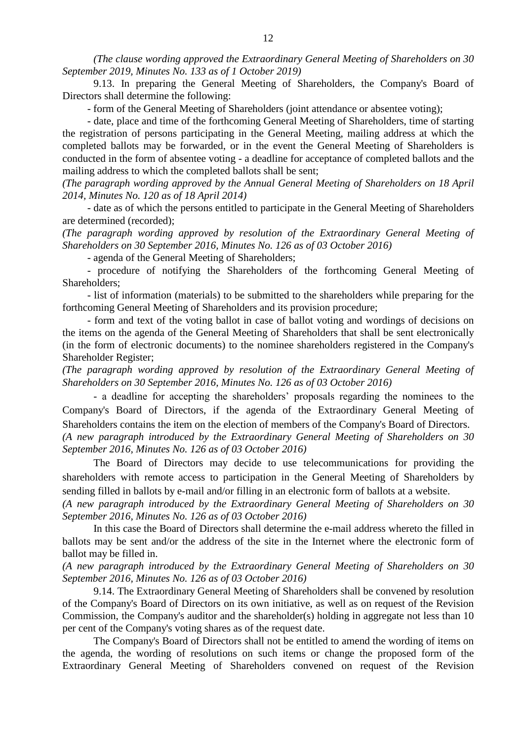*(The clause wording approved the Extraordinary General Meeting of Shareholders on 30 September 2019, Minutes No. 133 as of 1 October 2019)*

9.13. In preparing the General Meeting of Shareholders, the Company's Board of Directors shall determine the following:

- form of the General Meeting of Shareholders (joint attendance or absentee voting);

- date, place and time of the forthcoming General Meeting of Shareholders, time of starting the registration of persons participating in the General Meeting, mailing address at which the completed ballots may be forwarded, or in the event the General Meeting of Shareholders is conducted in the form of absentee voting - a deadline for acceptance of completed ballots and the mailing address to which the completed ballots shall be sent;

*(The paragraph wording approved by the Annual General Meeting of Shareholders on 18 April 2014, Minutes No. 120 as of 18 April 2014)*

- date as of which the persons entitled to participate in the General Meeting of Shareholders are determined (recorded);

*(The paragraph wording approved by resolution of the Extraordinary General Meeting of Shareholders on 30 September 2016, Minutes No. 126 as of 03 October 2016)*

- agenda of the General Meeting of Shareholders;

- procedure of notifying the Shareholders of the forthcoming General Meeting of Shareholders;

- list of information (materials) to be submitted to the shareholders while preparing for the forthcoming General Meeting of Shareholders and its provision procedure;

- form and text of the voting ballot in case of ballot voting and wordings of decisions on the items on the agenda of the General Meeting of Shareholders that shall be sent electronically (in the form of electronic documents) to the nominee shareholders registered in the Company's Shareholder Register;

*(The paragraph wording approved by resolution of the Extraordinary General Meeting of Shareholders on 30 September 2016, Minutes No. 126 as of 03 October 2016)*

- a deadline for accepting the shareholders' proposals regarding the nominees to the Company's Board of Directors, if the agenda of the Extraordinary General Meeting of Shareholders contains the item on the election of members of the Company's Board of Directors. *(A new paragraph introduced by the Extraordinary General Meeting of Shareholders on 30 September 2016, Minutes No. 126 as of 03 October 2016)*

The Board of Directors may decide to use telecommunications for providing the shareholders with remote access to participation in the General Meeting of Shareholders by sending filled in ballots by e-mail and/or filling in an electronic form of ballots at a website.

*(A new paragraph introduced by the Extraordinary General Meeting of Shareholders on 30 September 2016, Minutes No. 126 as of 03 October 2016)*

In this case the Board of Directors shall determine the e-mail address whereto the filled in ballots may be sent and/or the address of the site in the Internet where the electronic form of ballot may be filled in.

*(A new paragraph introduced by the Extraordinary General Meeting of Shareholders on 30 September 2016, Minutes No. 126 as of 03 October 2016)*

9.14. The Extraordinary General Meeting of Shareholders shall be convened by resolution of the Company's Board of Directors on its own initiative, as well as on request of the Revision Commission, the Company's auditor and the shareholder(s) holding in aggregate not less than 10 per cent of the Company's voting shares as of the request date.

The Company's Board of Directors shall not be entitled to amend the wording of items on the agenda, the wording of resolutions on such items or change the proposed form of the Extraordinary General Meeting of Shareholders convened on request of the Revision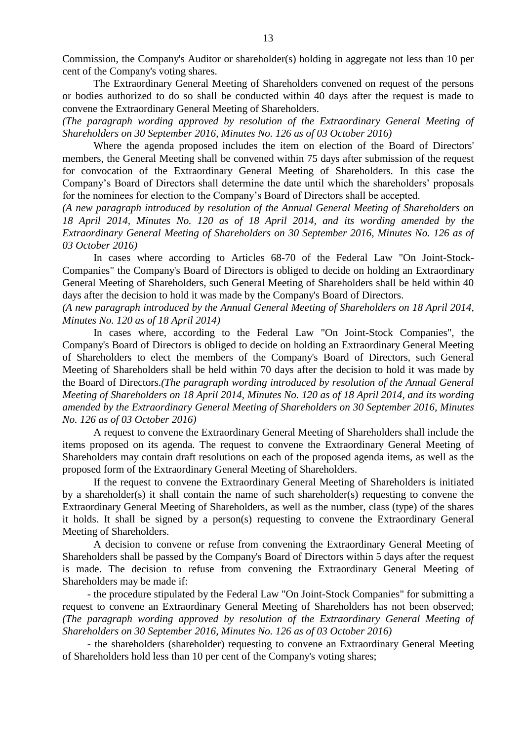Commission, the Company's Auditor or shareholder(s) holding in aggregate not less than 10 per cent of the Company's voting shares.

The Extraordinary General Meeting of Shareholders convened on request of the persons or bodies authorized to do so shall be conducted within 40 days after the request is made to convene the Extraordinary General Meeting of Shareholders.

*(The paragraph wording approved by resolution of the Extraordinary General Meeting of Shareholders on 30 September 2016, Minutes No. 126 as of 03 October 2016)*

Where the agenda proposed includes the item on election of the Board of Directors' members, the General Meeting shall be convened within 75 days after submission of the request for convocation of the Extraordinary General Meeting of Shareholders. In this case the Company's Board of Directors shall determine the date until which the shareholders' proposals for the nominees for election to the Company's Board of Directors shall be accepted.

*(A new paragraph introduced by resolution of the Annual General Meeting of Shareholders on 18 April 2014, Minutes No. 120 as of 18 April 2014, and its wording amended by the Extraordinary General Meeting of Shareholders on 30 September 2016, Minutes No. 126 as of 03 October 2016)*

In cases where according to [Articles 68-](consultantplus://offline/ref=96DC83258B09A641079416F3DA8D6B642C2279B41C33764838606AE44474051FBDE6851C568C88B4cA11F)[70](consultantplus://offline/ref=96DC83258B09A641079416F3DA8D6B642C2279B41C33764838606AE44474051FBDE6851C568C8BBFcA17F) of the Federal Law "On Joint-Stock-Companies" the Company's Board of Directors is obliged to decide on holding an Extraordinary General Meeting of Shareholders, such General Meeting of Shareholders shall be held within 40 days after the decision to hold it was made by the Company's Board of Directors.

*(A new paragraph introduced by the Annual General Meeting of Shareholders on 18 April 2014, Minutes No. 120 as of 18 April 2014)*

In cases where, according to the Federal [Law](consultantplus://offline/ref=650144EFB34E53FF2CFB952AE33E99F0845A2BE581E792A6E4BE6D254921FAF927433E152D923FA1X5zDF) "On Joint-Stock Companies", the Company's Board of Directors is obliged to decide on holding an Extraordinary General Meeting of Shareholders to elect the members of the Company's Board of Directors, such General Meeting of Shareholders shall be held within 70 days after the decision to hold it was made by the Board of Directors.*(The paragraph wording introduced by resolution of the Annual General Meeting of Shareholders on 18 April 2014, Minutes No. 120 as of 18 April 2014, and its wording amended by the Extraordinary General Meeting of Shareholders on 30 September 2016, Minutes No. 126 as of 03 October 2016)*

A request to convene the Extraordinary General Meeting of Shareholders shall include the items proposed on its agenda. The request to convene the Extraordinary General Meeting of Shareholders may contain draft resolutions on each of the proposed agenda items, as well as the proposed form of the Extraordinary General Meeting of Shareholders.

If the request to convene the Extraordinary General Meeting of Shareholders is initiated by a shareholder(s) it shall contain the name of such shareholder(s) requesting to convene the Extraordinary General Meeting of Shareholders, as well as the number, class (type) of the shares it holds. It shall be signed by a person(s) requesting to convene the Extraordinary General Meeting of Shareholders.

A decision to convene or refuse from convening the Extraordinary General Meeting of Shareholders shall be passed by the Company's Board of Directors within 5 days after the request is made. The decision to refuse from convening the Extraordinary General Meeting of Shareholders may be made if:

- the procedure stipulated by the Federal Law "On Joint-Stock Companies" for submitting a request to convene an Extraordinary General Meeting of Shareholders has not been observed; *(The paragraph wording approved by resolution of the Extraordinary General Meeting of Shareholders on 30 September 2016, Minutes No. 126 as of 03 October 2016)*

- the shareholders (shareholder) requesting to convene an Extraordinary General Meeting of Shareholders hold less than 10 per cent of the Company's voting shares;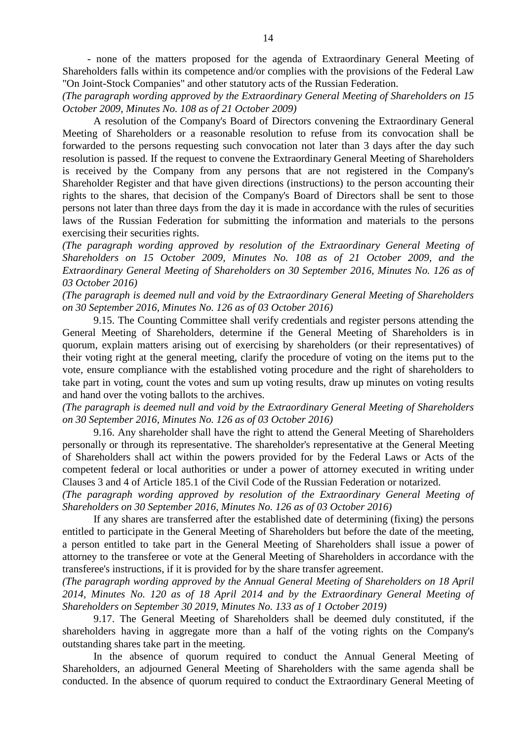- none of the matters proposed for the agenda of Extraordinary General Meeting of Shareholders falls within its competence and/or complies with the provisions of the Federal Law "On Joint-Stock Companies" and other statutory acts of the Russian Federation.

*(The paragraph wording approved by the Extraordinary General Meeting of Shareholders on 15 October 2009, Minutes No. 108 as of 21 October 2009)*

A resolution of the Company's Board of Directors convening the Extraordinary General Meeting of Shareholders or a reasonable resolution to refuse from its convocation shall be forwarded to the persons requesting such convocation not later than 3 days after the day such resolution is passed. If the request to convene the Extraordinary General Meeting of Shareholders is received by the Company from any persons that are not registered in the Company's Shareholder Register and that have given directions (instructions) to the person accounting their rights to the shares, that decision of the Company's Board of Directors shall be sent to those persons not later than three days from the day it is made in accordance with the rules of securities laws of the Russian Federation for submitting the information and materials to the persons exercising their securities rights.

*(The paragraph wording approved by resolution of the Extraordinary General Meeting of Shareholders on 15 October 2009, Minutes No. 108 as of 21 October 2009, and the Extraordinary General Meeting of Shareholders on 30 September 2016, Minutes No. 126 as of 03 October 2016)*

*(The paragraph is deemed null and void by the Extraordinary General Meeting of Shareholders on 30 September 2016, Minutes No. 126 as of 03 October 2016)*

9.15. The Counting Committee shall verify credentials and register persons attending the General Meeting of Shareholders, determine if the General Meeting of Shareholders is in quorum, explain matters arising out of exercising by shareholders (or their representatives) of their voting right at the general meeting, clarify the procedure of voting on the items put to the vote, ensure compliance with the established voting procedure and the right of shareholders to take part in voting, count the votes and sum up voting results, draw up minutes on voting results and hand over the voting ballots to the archives.

*(The paragraph is deemed null and void by the Extraordinary General Meeting of Shareholders on 30 September 2016, Minutes No. 126 as of 03 October 2016)*

9.16. Any shareholder shall have the right to attend the General Meeting of Shareholders personally or through its representative. The shareholder's representative at the General Meeting of Shareholders shall act within the powers provided for by the Federal Laws or Acts of the competent federal or local authorities or under a power of attorney executed in writing under Clauses 3 and 4 of Article 185.1 of the Civil Code of the Russian Federation or notarized.

*(The paragraph wording approved by resolution of the Extraordinary General Meeting of Shareholders on 30 September 2016, Minutes No. 126 as of 03 October 2016)*

If any shares are transferred after the established date of determining (fixing) the persons entitled to participate in the General Meeting of Shareholders but before the date of the meeting, a person entitled to take part in the General Meeting of Shareholders shall issue a power of attorney to the transferee or vote at the General Meeting of Shareholders in accordance with the transferee's instructions, if it is provided for by the share transfer agreement.

*(The paragraph wording approved by the Annual General Meeting of Shareholders on 18 April 2014, Minutes No. 120 as of 18 April 2014 and by the Extraordinary General Meeting of Shareholders on September 30 2019, Minutes No. 133 as of 1 October 2019)*

9.17. The General Meeting of Shareholders shall be deemed duly constituted, if the shareholders having in aggregate more than a half of the voting rights on the Company's outstanding shares take part in the meeting.

In the absence of quorum required to conduct the Annual General Meeting of Shareholders, an adjourned General Meeting of Shareholders with the same agenda shall be conducted. In the absence of quorum required to conduct the Extraordinary General Meeting of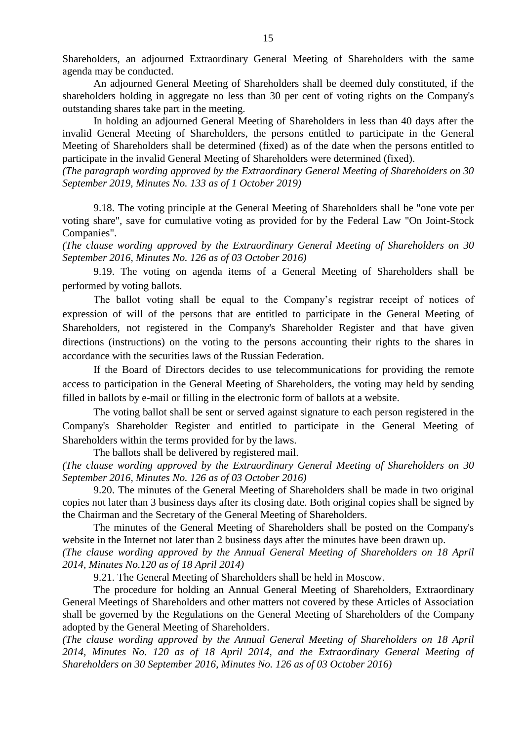Shareholders, an adjourned Extraordinary General Meeting of Shareholders with the same agenda may be conducted.

An adjourned General Meeting of Shareholders shall be deemed duly constituted, if the shareholders holding in aggregate no less than 30 per cent of voting rights on the Company's outstanding shares take part in the meeting.

In holding an adjourned General Meeting of Shareholders in less than 40 days after the invalid General Meeting of Shareholders, the persons entitled to participate in the General Meeting of Shareholders shall be determined (fixed) as of the date when the persons entitled to participate in the invalid General Meeting of Shareholders were determined (fixed).

*(The paragraph wording approved by the Extraordinary General Meeting of Shareholders on 30 September 2019, Minutes No. 133 as of 1 October 2019)*

9.18. The voting principle at the General Meeting of Shareholders shall be "one vote per voting share", save for cumulative voting as provided for by the Federal Law "On Joint-Stock Companies".

*(The clause wording approved by the Extraordinary General Meeting of Shareholders on 30 September 2016, Minutes No. 126 as of 03 October 2016)*

9.19. The voting on agenda items of a General Meeting of Shareholders shall be performed by voting ballots.

The ballot voting shall be equal to the Company's registrar receipt of notices of expression of will of the persons that are entitled to participate in the General Meeting of Shareholders, not registered in the Company's Shareholder Register and that have given directions (instructions) on the voting to the persons accounting their rights to the shares in accordance with the securities laws of the Russian Federation.

If the Board of Directors decides to use telecommunications for providing the remote access to participation in the General Meeting of Shareholders, the voting may held by sending filled in ballots by e-mail or filling in the electronic form of ballots at a website.

The voting ballot shall be sent or served against signature to each person registered in the Company's Shareholder Register and entitled to participate in the General Meeting of Shareholders within the terms provided for by the laws.

The ballots shall be delivered by registered mail.

*(The clause wording approved by the Extraordinary General Meeting of Shareholders on 30 September 2016, Minutes No. 126 as of 03 October 2016)*

9.20. The minutes of the General Meeting of Shareholders shall be made in two original copies not later than 3 business days after its closing date. Both original copies shall be signed by the Chairman and the Secretary of the General Meeting of Shareholders.

The minutes of the General Meeting of Shareholders shall be posted on the Company's website in the Internet not later than 2 business days after the minutes have been drawn up. *(The clause wording approved by the Annual General Meeting of Shareholders on 18 April* 

*2014, Minutes No.120 as of 18 April 2014)*

9.21. The General Meeting of Shareholders shall be held in Moscow.

The procedure for holding an Annual General Meeting of Shareholders, Extraordinary General Meetings of Shareholders and other matters not covered by these Articles of Association shall be governed by the Regulations on the General Meeting of Shareholders of the Company adopted by the General Meeting of Shareholders.

*(The clause wording approved by the Annual General Meeting of Shareholders on 18 April 2014, Minutes No. 120 as of 18 April 2014, and the Extraordinary General Meeting of Shareholders on 30 September 2016, Minutes No. 126 as of 03 October 2016)*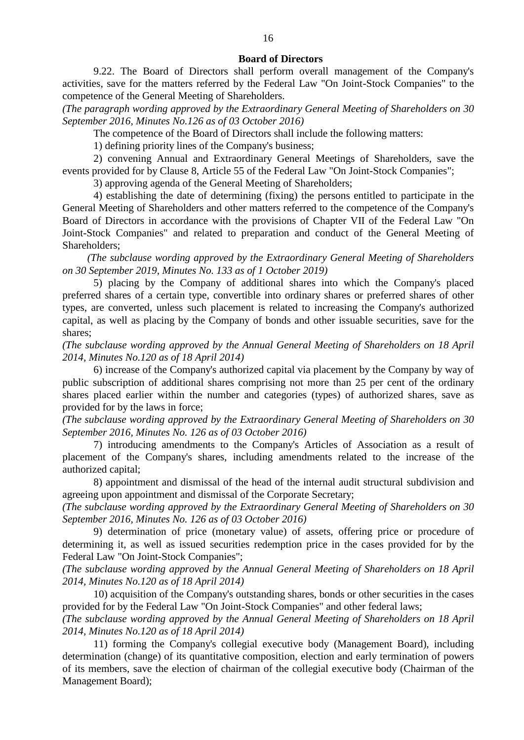#### **Board of Directors**

9.22. The Board of Directors shall perform overall management of the Company's activities, save for the matters referred by the Federal Law "On Joint-Stock Companies" to the competence of the General Meeting of Shareholders.

*(The paragraph wording approved by the Extraordinary General Meeting of Shareholders on 30 September 2016, Minutes No.126 as of 03 October 2016)*

The competence of the Board of Directors shall include the following matters:

1) defining priority lines of the Company's business;

2) convening Annual and Extraordinary General Meetings of Shareholders, save the events provided for by Clause 8, Article 55 of the Federal Law "On Joint-Stock Companies";

3) approving agenda of the General Meeting of Shareholders;

4) establishing the date of determining (fixing) the persons entitled to participate in the General Meeting of Shareholders and other matters referred to the competence of the Company's Board of Directors in accordance with the provisions of Chapter VII of the Federal Law "On Joint-Stock Companies" and related to preparation and conduct of the General Meeting of Shareholders;

*(The subclause wording approved by the Extraordinary General Meeting of Shareholders on 30 September 2019, Minutes No. 133 as of 1 October 2019)*

5) placing by the Company of additional shares into which the Company's placed preferred shares of a certain type, convertible into ordinary shares or preferred shares of other types, are converted, unless such placement is related to increasing the Company's authorized capital, as well as placing by the Company of bonds and other issuable securities, save for the shares;

*(The subclause wording approved by the Annual General Meeting of Shareholders on 18 April 2014, Minutes No.120 as of 18 April 2014)*

6) increase of the Company's authorized capital via placement by the Company by way of public subscription of additional shares comprising not more than 25 per cent of the ordinary shares placed earlier within the number and categories (types) of authorized shares, save as provided for by the laws in force;

*(The subclause wording approved by the Extraordinary General Meeting of Shareholders on 30 September 2016, Minutes No. 126 as of 03 October 2016)*

7) introducing amendments to the Company's Articles of Association as a result of placement of the Company's shares, including amendments related to the increase of the authorized capital;

8) appointment and dismissal of the head of the internal audit structural subdivision and agreeing upon appointment and dismissal of the Corporate Secretary;

*(The subclause wording approved by the Extraordinary General Meeting of Shareholders on 30 September 2016, Minutes No. 126 as of 03 October 2016)*

9) determination of price (monetary value) of assets, offering price or procedure of determining it, as well as issued securities redemption price in the cases provided for by the Federal Law "On Joint-Stock Companies";

*(The subclause wording approved by the Annual General Meeting of Shareholders on 18 April 2014, Minutes No.120 as of 18 April 2014)*

10) acquisition of the Company's outstanding shares, bonds or other securities in the cases provided for by the Federal Law "On Joint-Stock Companies" and other federal laws;

*(The subclause wording approved by the Annual General Meeting of Shareholders on 18 April 2014, Minutes No.120 as of 18 April 2014)*

11) forming the Company's collegial executive body (Management Board), including determination (change) of its quantitative composition, election and early termination of powers of its members, save the election of chairman of the collegial executive body (Chairman of the Management Board);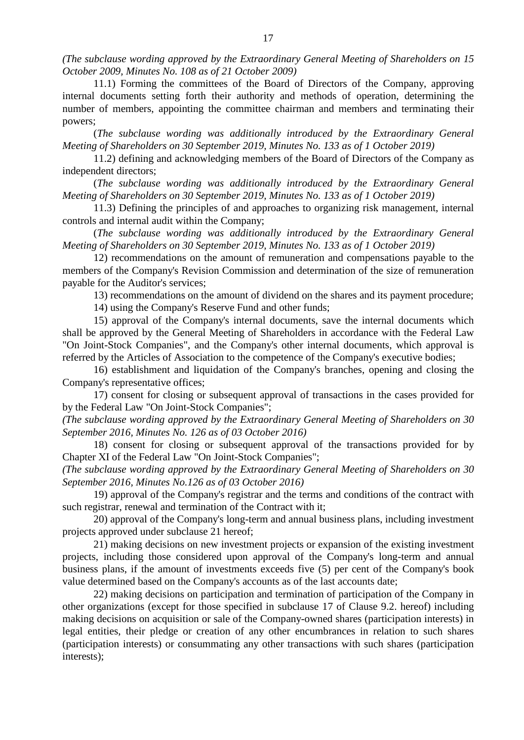*(The subclause wording approved by the Extraordinary General Meeting of Shareholders on 15 October 2009, Minutes No. 108 as of 21 October 2009)*

11.1) Forming the committees of the Board of Directors of the Company, approving internal documents setting forth their authority and methods of operation, determining the number of members, appointing the committee chairman and members and terminating their powers;

(*The subclause wording was additionally introduced by the Extraordinary General Meeting of Shareholders on 30 September 2019, Minutes No. 133 as of 1 October 2019)*

11.2) defining and acknowledging members of the Board of Directors of the Company as independent directors;

(*The subclause wording was additionally introduced by the Extraordinary General Meeting of Shareholders on 30 September 2019, Minutes No. 133 as of 1 October 2019)*

11.3) Defining the principles of and approaches to organizing risk management, internal controls and internal audit within the Company;

(*The subclause wording was additionally introduced by the Extraordinary General Meeting of Shareholders on 30 September 2019, Minutes No. 133 as of 1 October 2019)*

12) recommendations on the amount of remuneration and compensations payable to the members of the Company's Revision Commission and determination of the size of remuneration payable for the Auditor's services;

13) recommendations on the amount of dividend on the shares and its payment procedure;

14) using the Company's Reserve Fund and other funds;

15) approval of the Company's internal documents, save the internal documents which shall be approved by the General Meeting of Shareholders in accordance with the Federal Law "On Joint-Stock Companies", and the Company's other internal documents, which approval is referred by the Articles of Association to the competence of the Company's executive bodies;

16) establishment and liquidation of the Company's branches, opening and closing the Company's representative offices;

17) consent for closing or subsequent approval of transactions in the cases provided for by the Federal Law "On Joint-Stock Companies";

*(The subclause wording approved by the Extraordinary General Meeting of Shareholders on 30 September 2016, Minutes No. 126 as of 03 October 2016)*

18) consent for closing or subsequent approval of the transactions provided for by Chapter ХI of the Federal Law "On Joint-Stock Companies";

*(The subclause wording approved by the Extraordinary General Meeting of Shareholders on 30 September 2016, Minutes No.126 as of 03 October 2016)*

19) approval of the Company's registrar and the terms and conditions of the contract with such registrar, renewal and termination of the Contract with it;

20) approval of the Company's long-term and annual business plans, including investment projects approved under subclause 21 hereof;

21) making decisions on new investment projects or expansion of the existing investment projects, including those considered upon approval of the Company's long-term and annual business plans, if the amount of investments exceeds five (5) per cent of the Company's book value determined based on the Company's accounts as of the last accounts date;

22) making decisions on participation and termination of participation of the Company in other organizations (except for those specified in subclause 17 of Clause 9.2. hereof) including making decisions on acquisition or sale of the Company-owned shares (participation interests) in legal entities, their pledge or creation of any other encumbrances in relation to such shares (participation interests) or consummating any other transactions with such shares (participation interests);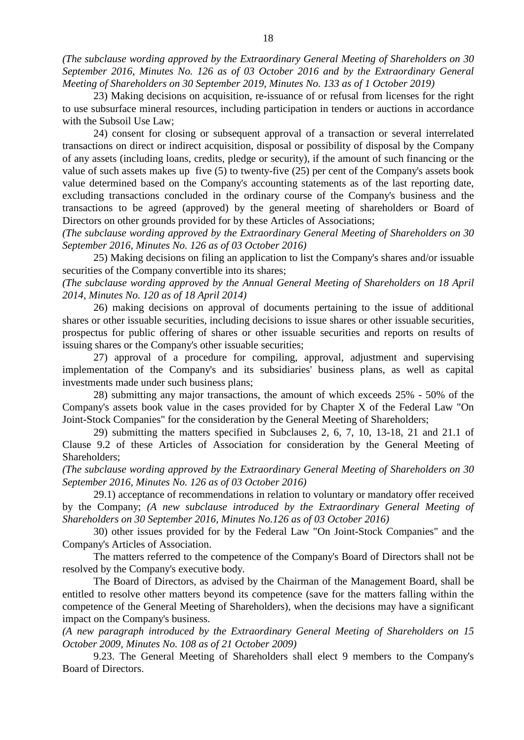*(The subclause wording approved by the Extraordinary General Meeting of Shareholders on 30 September 2016, Minutes No. 126 as of 03 October 2016 and by the Extraordinary General Meeting of Shareholders on 30 September 2019, Minutes No. 133 as of 1 October 2019)*

23) Making decisions on acquisition, re-issuance of or refusal from licenses for the right to use subsurface mineral resources, including participation in tenders or auctions in accordance with the Subsoil Use Law;

24) consent for closing or subsequent approval of a transaction or several interrelated transactions on direct or indirect acquisition, disposal or possibility of disposal by the Company of any assets (including loans, credits, pledge or security), if the amount of such financing or the value of such assets makes up five  $(5)$  to twenty-five  $(25)$  per cent of the Company's assets book value determined based on the Company's accounting statements as of the last reporting date, excluding transactions concluded in the ordinary course of the Company's business and the transactions to be agreed (approved) by the general meeting of shareholders or Board of Directors on other grounds provided for by these Articles of Associations;

*(The subclause wording approved by the Extraordinary General Meeting of Shareholders on 30 September 2016, Minutes No. 126 as of 03 October 2016)*

25) Making decisions on filing an application to list the Company's shares and/or issuable securities of the Company convertible into its shares;

*(The subclause wording approved by the Annual General Meeting of Shareholders on 18 April 2014, Minutes No. 120 as of 18 April 2014)*

26) making decisions on approval of documents pertaining to the issue of additional shares or other issuable securities, including decisions to issue shares or other issuable securities, prospectus for public offering of shares or other issuable securities and reports on results of issuing shares or the Company's other issuable securities;

27) approval of a procedure for compiling, approval, adjustment and supervising implementation of the Company's and its subsidiaries' business plans, as well as capital investments made under such business plans;

28) submitting any major transactions, the amount of which exceeds 25% - 50% of the Company's assets book value in the cases provided for by Chapter X of the Federal Law "On Joint-Stock Companies" for the consideration by the General Meeting of Shareholders;

29) submitting the matters specified in Subclauses 2, 6, 7, 10, 13-18, 21 and 21.1 of Clause 9.2 of these Articles of Association for consideration by the General Meeting of Shareholders;

*(The subclause wording approved by the Extraordinary General Meeting of Shareholders on 30 September 2016, Minutes No. 126 as of 03 October 2016)*

29.1) acceptance of recommendations in relation to voluntary or mandatory offer received by the Company; *(A new subclause introduced by the Extraordinary General Meeting of Shareholders on 30 September 2016, Minutes No.126 as of 03 October 2016)*

30) other issues provided for by the Federal Law "On Joint-Stock Companies" and the Company's Articles of Association.

The matters referred to the competence of the Company's Board of Directors shall not be resolved by the Company's executive body.

The Board of Directors, as advised by the Chairman of the Management Board, shall be entitled to resolve other matters beyond its competence (save for the matters falling within the competence of the General Meeting of Shareholders), when the decisions may have a significant impact on the Company's business.

*(A new paragraph introduced by the Extraordinary General Meeting of Shareholders on 15 October 2009, Minutes No. 108 as of 21 October 2009)*

9.23. The General Meeting of Shareholders shall elect 9 members to the Company's Board of Directors.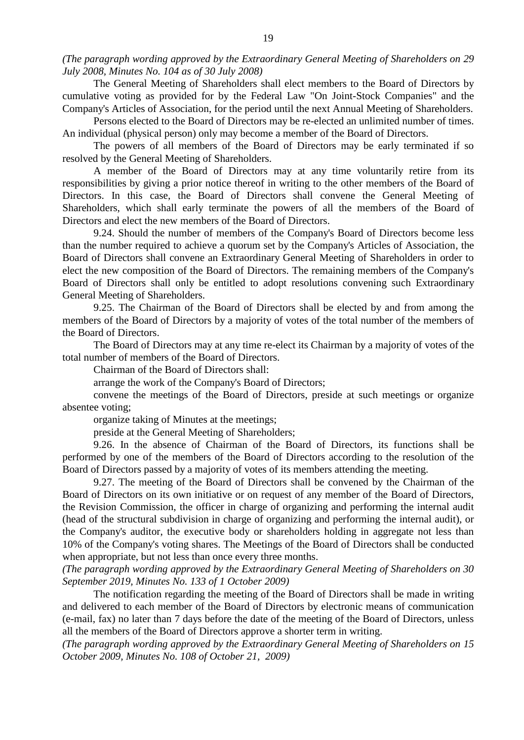*(The paragraph wording approved by the Extraordinary General Meeting of Shareholders on 29 July 2008, Minutes No. 104 as of 30 July 2008)*

The General Meeting of Shareholders shall elect members to the Board of Directors by cumulative voting as provided for by the Federal Law "On Joint-Stock Companies" and the Company's Articles of Association, for the period until the next Annual Meeting of Shareholders.

Persons elected to the Board of Directors may be re-elected an unlimited number of times. An individual (physical person) only may become a member of the Board of Directors.

The powers of all members of the Board of Directors may be early terminated if so resolved by the General Meeting of Shareholders.

A member of the Board of Directors may at any time voluntarily retire from its responsibilities by giving a prior notice thereof in writing to the other members of the Board of Directors. In this case, the Board of Directors shall convene the General Meeting of Shareholders, which shall early terminate the powers of all the members of the Board of Directors and elect the new members of the Board of Directors.

9.24. Should the number of members of the Company's Board of Directors become less than the number required to achieve a quorum set by the Company's Articles of Association, the Board of Directors shall convene an Extraordinary General Meeting of Shareholders in order to elect the new composition of the Board of Directors. The remaining members of the Company's Board of Directors shall only be entitled to adopt resolutions convening such Extraordinary General Meeting of Shareholders.

9.25. The Chairman of the Board of Directors shall be elected by and from among the members of the Board of Directors by a majority of votes of the total number of the members of the Board of Directors.

The Board of Directors may at any time re-elect its Chairman by a majority of votes of the total number of members of the Board of Directors.

Chairman of the Board of Directors shall:

arrange the work of the Company's Board of Directors;

convene the meetings of the Board of Directors, preside at such meetings or organize absentee voting;

organize taking of Minutes at the meetings;

preside at the General Meeting of Shareholders;

9.26. In the absence of Chairman of the Board of Directors, its functions shall be performed by one of the members of the Board of Directors according to the resolution of the Board of Directors passed by a majority of votes of its members attending the meeting.

9.27. The meeting of the Board of Directors shall be convened by the Chairman of the Board of Directors on its own initiative or on request of any member of the Board of Directors, the Revision Commission, the officer in charge of organizing and performing the internal audit (head of the structural subdivision in charge of organizing and performing the internal audit), or the Company's auditor, the executive body or shareholders holding in aggregate not less than 10% of the Company's voting shares. The Meetings of the Board of Directors shall be conducted when appropriate, but not less than once every three months.

*(The paragraph wording approved by the Extraordinary General Meeting of Shareholders on 30 September 2019, Minutes No. 133 of 1 October 2009)*

The notification regarding the meeting of the Board of Directors shall be made in writing and delivered to each member of the Board of Directors by electronic means of communication (e-mail, fax) no later than 7 days before the date of the meeting of the Board of Directors, unless all the members of the Board of Directors approve a shorter term in writing.

*(The paragraph wording approved by the Extraordinary General Meeting of Shareholders on 15 October 2009, Minutes No. 108 of October 21, 2009)*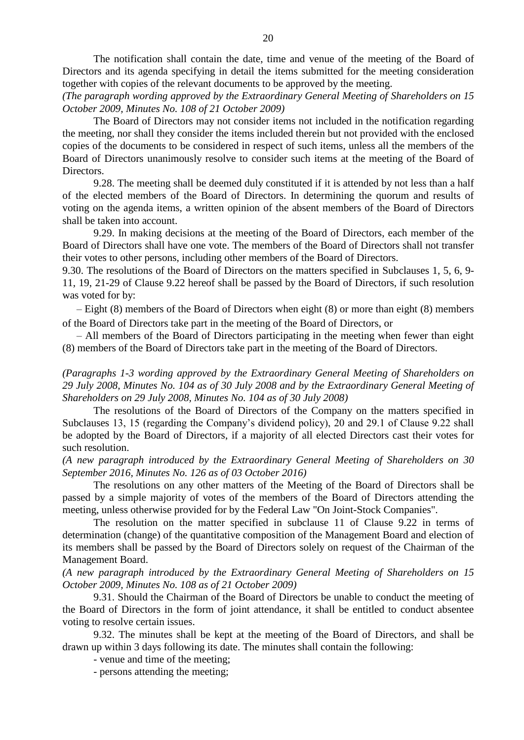The notification shall contain the date, time and venue of the meeting of the Board of Directors and its agenda specifying in detail the items submitted for the meeting consideration together with copies of the relevant documents to be approved by the meeting.

*(The paragraph wording approved by the Extraordinary General Meeting of Shareholders on 15 October 2009, Minutes No. 108 of 21 October 2009)*

The Board of Directors may not consider items not included in the notification regarding the meeting, nor shall they consider the items included therein but not provided with the enclosed copies of the documents to be considered in respect of such items, unless all the members of the Board of Directors unanimously resolve to consider such items at the meeting of the Board of Directors.

9.28. The meeting shall be deemed duly constituted if it is attended by not less than a half of the elected members of the Board of Directors. In determining the quorum and results of voting on the agenda items, a written opinion of the absent members of the Board of Directors shall be taken into account.

9.29. In making decisions at the meeting of the Board of Directors, each member of the Board of Directors shall have one vote. The members of the Board of Directors shall not transfer their votes to other persons, including other members of the Board of Directors.

9.30. The resolutions of the Board of Directors on the matters specified in Subclauses 1, 5, 6, 9- 11, 19, 21-29 of Clause 9.22 hereof shall be passed by the Board of Directors, if such resolution was voted for by:

– Eight (8) members of the Board of Directors when eight (8) or more than eight (8) members of the Board of Directors take part in the meeting of the Board of Directors, or

– All members of the Board of Directors participating in the meeting when fewer than eight (8) members of the Board of Directors take part in the meeting of the Board of Directors.

*(Paragraphs 1-3 wording approved by the Extraordinary General Meeting of Shareholders on 29 July 2008, Minutes No. 104 as of 30 July 2008 and by the Extraordinary General Meeting of Shareholders on 29 July 2008, Minutes No. 104 as of 30 July 2008)*

The resolutions of the Board of Directors of the Company on the matters specified in Subclauses 13, 15 (regarding the Company's dividend policy), 20 and 29.1 of Clause 9.22 shall be adopted by the Board of Directors, if a majority of all elected Directors cast their votes for such resolution.

*(A new paragraph introduced by the Extraordinary General Meeting of Shareholders on 30 September 2016, Minutes No. 126 as of 03 October 2016)*

The resolutions on any other matters of the Meeting of the Board of Directors shall be passed by a simple majority of votes of the members of the Board of Directors attending the meeting, unless otherwise provided for by the Federal Law "On Joint-Stock Companies".

The resolution on the matter specified in subclause 11 of Clause 9.22 in terms of determination (change) of the quantitative composition of the Management Board and election of its members shall be passed by the Board of Directors solely on request of the Chairman of the Management Board.

*(A new paragraph introduced by the Extraordinary General Meeting of Shareholders on 15 October 2009, Minutes No. 108 as of 21 October 2009)* 

9.31. Should the Chairman of the Board of Directors be unable to conduct the meeting of the Board of Directors in the form of joint attendance, it shall be entitled to conduct absentee voting to resolve certain issues.

9.32. The minutes shall be kept at the meeting of the Board of Directors, and shall be drawn up within 3 days following its date. The minutes shall contain the following:

- venue and time of the meeting;

- persons attending the meeting;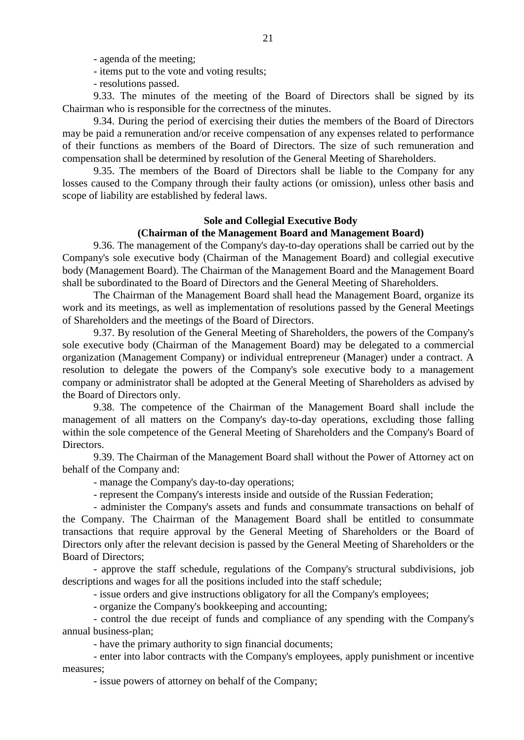- agenda of the meeting;

- items put to the vote and voting results;
- resolutions passed.

9.33. The minutes of the meeting of the Board of Directors shall be signed by its Chairman who is responsible for the correctness of the minutes.

9.34. During the period of exercising their duties the members of the Board of Directors may be paid a remuneration and/or receive compensation of any expenses related to performance of their functions as members of the Board of Directors. The size of such remuneration and compensation shall be determined by resolution of the General Meeting of Shareholders.

9.35. The members of the Board of Directors shall be liable to the Company for any losses caused to the Company through their faulty actions (or omission), unless other basis and scope of liability are established by federal laws.

#### **Sole and Collegial Executive Body**

## **(Chairman of the Management Board and Management Board)**

9.36. The management of the Company's day-to-day operations shall be carried out by the Company's sole executive body (Chairman of the Management Board) and collegial executive body (Management Board). The Chairman of the Management Board and the Management Board shall be subordinated to the Board of Directors and the General Meeting of Shareholders.

The Chairman of the Management Board shall head the Management Board, organize its work and its meetings, as well as implementation of resolutions passed by the General Meetings of Shareholders and the meetings of the Board of Directors.

9.37. By resolution of the General Meeting of Shareholders, the powers of the Company's sole executive body (Chairman of the Management Board) may be delegated to a commercial organization (Management Company) or individual entrepreneur (Manager) under a contract. A resolution to delegate the powers of the Company's sole executive body to a management company or administrator shall be adopted at the General Meeting of Shareholders as advised by the Board of Directors only.

9.38. The competence of the Chairman of the Management Board shall include the management of all matters on the Company's day-to-day operations, excluding those falling within the sole competence of the General Meeting of Shareholders and the Company's Board of Directors.

9.39. The Chairman of the Management Board shall without the Power of Attorney act on behalf of the Company and:

- manage the Company's day-to-day operations;

- represent the Company's interests inside and outside of the Russian Federation;

- administer the Company's assets and funds and consummate transactions on behalf of the Company. The Chairman of the Management Board shall be entitled to consummate transactions that require approval by the General Meeting of Shareholders or the Board of Directors only after the relevant decision is passed by the General Meeting of Shareholders or the Board of Directors;

- approve the staff schedule, regulations of the Company's structural subdivisions, job descriptions and wages for all the positions included into the staff schedule;

- issue orders and give instructions obligatory for all the Company's employees;

- organize the Company's bookkeeping and accounting;

- control the due receipt of funds and compliance of any spending with the Company's annual business-plan;

- have the primary authority to sign financial documents;

- enter into labor contracts with the Company's employees, apply punishment or incentive measures;

- issue powers of attorney on behalf of the Company;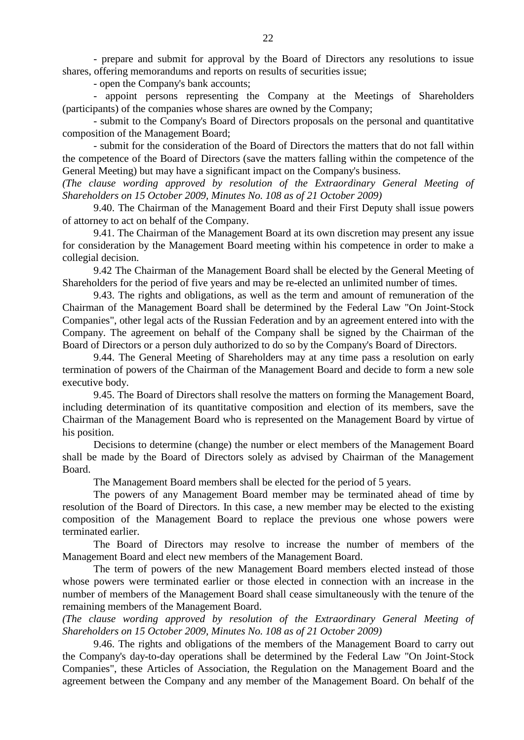- prepare and submit for approval by the Board of Directors any resolutions to issue shares, offering memorandums and reports on results of securities issue;

- open the Company's bank accounts;

- appoint persons representing the Company at the Meetings of Shareholders (participants) of the companies whose shares are owned by the Company;

- submit to the Company's Board of Directors proposals on the personal and quantitative composition of the Management Board;

- submit for the consideration of the Board of Directors the matters that do not fall within the competence of the Board of Directors (save the matters falling within the competence of the General Meeting) but may have a significant impact on the Company's business.

*(The clause wording approved by resolution of the Extraordinary General Meeting of Shareholders on 15 October 2009, Minutes No. 108 as of 21 October 2009)*

9.40. The Chairman of the Management Board and their First Deputy shall issue powers of attorney to act on behalf of the Company.

9.41. The Chairman of the Management Board at its own discretion may present any issue for consideration by the Management Board meeting within his competence in order to make a collegial decision.

9.42 The Chairman of the Management Board shall be elected by the General Meeting of Shareholders for the period of five years and may be re-elected an unlimited number of times.

9.43. The rights and obligations, as well as the term and amount of remuneration of the Chairman of the Management Board shall be determined by the Federal Law "On Joint-Stock Companies", other legal acts of the Russian Federation and by an agreement entered into with the Company. The agreement on behalf of the Company shall be signed by the Chairman of the Board of Directors or a person duly authorized to do so by the Company's Board of Directors.

9.44. The General Meeting of Shareholders may at any time pass a resolution on early termination of powers of the Chairman of the Management Board and decide to form a new sole executive body.

9.45. The Board of Directors shall resolve the matters on forming the Management Board, including determination of its quantitative composition and election of its members, save the Chairman of the Management Board who is represented on the Management Board by virtue of his position.

Decisions to determine (change) the number or elect members of the Management Board shall be made by the Board of Directors solely as advised by Chairman of the Management Board.

The Management Board members shall be elected for the period of 5 years.

The powers of any Management Board member may be terminated ahead of time by resolution of the Board of Directors. In this case, a new member may be elected to the existing composition of the Management Board to replace the previous one whose powers were terminated earlier.

The Board of Directors may resolve to increase the number of members of the Management Board and elect new members of the Management Board.

The term of powers of the new Management Board members elected instead of those whose powers were terminated earlier or those elected in connection with an increase in the number of members of the Management Board shall cease simultaneously with the tenure of the remaining members of the Management Board.

*(The clause wording approved by resolution of the Extraordinary General Meeting of Shareholders on 15 October 2009, Minutes No. 108 as of 21 October 2009)*

9.46. The rights and obligations of the members of the Management Board to carry out the Company's day-to-day operations shall be determined by the Federal Law "On Joint-Stock Companies", these Articles of Association, the Regulation on the Management Board and the agreement between the Company and any member of the Management Board. On behalf of the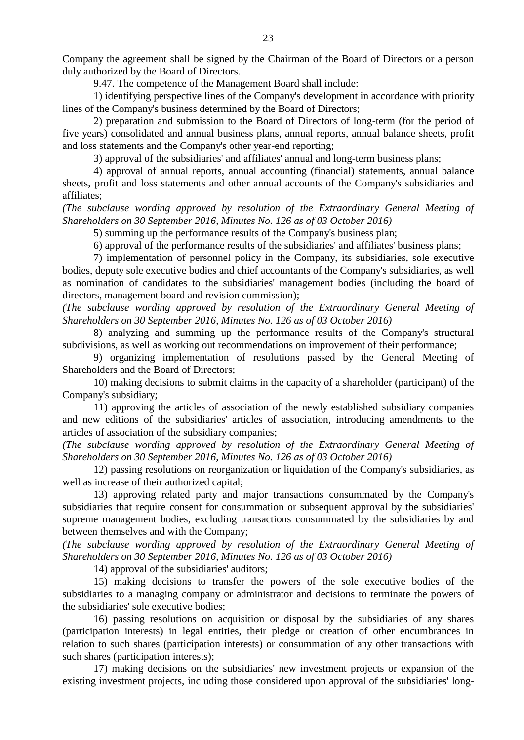Company the agreement shall be signed by the Chairman of the Board of Directors or a person duly authorized by the Board of Directors.

9.47. The competence of the Management Board shall include:

1) identifying perspective lines of the Company's development in accordance with priority lines of the Company's business determined by the Board of Directors;

2) preparation and submission to the Board of Directors of long-term (for the period of five years) consolidated and annual business plans, annual reports, annual balance sheets, profit and loss statements and the Company's other year-end reporting;

3) approval of the subsidiaries' and affiliates' annual and long-term business plans;

4) approval of annual reports, annual accounting (financial) statements, annual balance sheets, profit and loss statements and other annual accounts of the Company's subsidiaries and affiliates;

*(The subclause wording approved by resolution of the Extraordinary General Meeting of Shareholders on 30 September 2016, Minutes No. 126 as of 03 October 2016)*

5) summing up the performance results of the Company's business plan;

6) approval of the performance results of the subsidiaries' and affiliates' business plans;

7) implementation of personnel policy in the Company, its subsidiaries, sole executive bodies, deputy sole executive bodies and chief accountants of the Company's subsidiaries, as well as nomination of candidates to the subsidiaries' management bodies (including the board of directors, management board and revision commission);

*(The subclause wording approved by resolution of the Extraordinary General Meeting of Shareholders on 30 September 2016, Minutes No. 126 as of 03 October 2016)*

8) analyzing and summing up the performance results of the Company's structural subdivisions, as well as working out recommendations on improvement of their performance;

9) organizing implementation of resolutions passed by the General Meeting of Shareholders and the Board of Directors;

10) making decisions to submit claims in the capacity of a shareholder (participant) of the Company's subsidiary;

11) approving the articles of association of the newly established subsidiary companies and new editions of the subsidiaries' articles of association, introducing amendments to the articles of association of the subsidiary companies;

*(The subclause wording approved by resolution of the Extraordinary General Meeting of Shareholders on 30 September 2016, Minutes No. 126 as of 03 October 2016)*

12) passing resolutions on reorganization or liquidation of the Company's subsidiaries, as well as increase of their authorized capital;

13) approving related party and major transactions consummated by the Company's subsidiaries that require consent for consummation or subsequent approval by the subsidiaries' supreme management bodies, excluding transactions consummated by the subsidiaries by and between themselves and with the Company;

*(The subclause wording approved by resolution of the Extraordinary General Meeting of Shareholders on 30 September 2016, Minutes No. 126 as of 03 October 2016)*

14) approval of the subsidiaries' auditors;

15) making decisions to transfer the powers of the sole executive bodies of the subsidiaries to a managing company or administrator and decisions to terminate the powers of the subsidiaries' sole executive bodies;

16) passing resolutions on acquisition or disposal by the subsidiaries of any shares (participation interests) in legal entities, their pledge or creation of other encumbrances in relation to such shares (participation interests) or consummation of any other transactions with such shares (participation interests);

17) making decisions on the subsidiaries' new investment projects or expansion of the existing investment projects, including those considered upon approval of the subsidiaries' long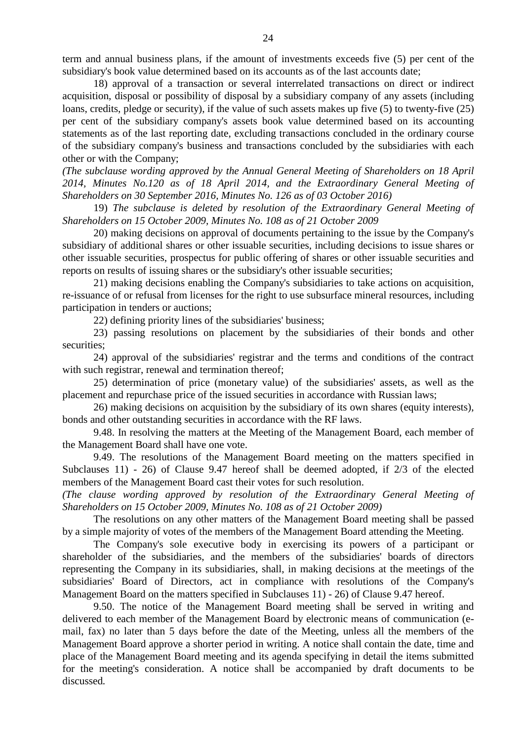term and annual business plans, if the amount of investments exceeds five (5) per cent of the subsidiary's book value determined based on its accounts as of the last accounts date;

18) approval of a transaction or several interrelated transactions on direct or indirect acquisition, disposal or possibility of disposal by a subsidiary company of any assets (including loans, credits, pledge or security), if the value of such assets makes up five (5) to twenty-five (25) per cent of the subsidiary company's assets book value determined based on its accounting statements as of the last reporting date, excluding transactions concluded in the ordinary course of the subsidiary company's business and transactions concluded by the subsidiaries with each other or with the Company;

*(The subclause wording approved by the Annual General Meeting of Shareholders on 18 April 2014, Minutes No.120 as of 18 April 2014, and the Extraordinary General Meeting of Shareholders on 30 September 2016, Minutes No. 126 as of 03 October 2016)*

19) *The subclause is deleted by resolution of the Extraordinary General Meeting of Shareholders on 15 October 2009, Minutes No. 108 as of 21 October 2009*

20) making decisions on approval of documents pertaining to the issue by the Company's subsidiary of additional shares or other issuable securities, including decisions to issue shares or other issuable securities, prospectus for public offering of shares or other issuable securities and reports on results of issuing shares or the subsidiary's other issuable securities;

21) making decisions enabling the Company's subsidiaries to take actions on acquisition, re-issuance of or refusal from licenses for the right to use subsurface mineral resources, including participation in tenders or auctions;

22) defining priority lines of the subsidiaries' business;

23) passing resolutions on placement by the subsidiaries of their bonds and other securities;

24) approval of the subsidiaries' registrar and the terms and conditions of the contract with such registrar, renewal and termination thereof;

25) determination of price (monetary value) of the subsidiaries' assets, as well as the placement and repurchase price of the issued securities in accordance with Russian laws;

26) making decisions on acquisition by the subsidiary of its own shares (equity interests), bonds and other outstanding securities in accordance with the RF laws.

9.48. In resolving the matters at the Meeting of the Management Board, each member of the Management Board shall have one vote.

9.49. The resolutions of the Management Board meeting on the matters specified in Subclauses 11) - 26) of Clause 9.47 hereof shall be deemed adopted, if 2/3 of the elected members of the Management Board cast their votes for such resolution.

*(The clause wording approved by resolution of the Extraordinary General Meeting of Shareholders on 15 October 2009, Minutes No. 108 as of 21 October 2009)*

The resolutions on any other matters of the Management Board meeting shall be passed by a simple majority of votes of the members of the Management Board attending the Meeting.

The Company's sole executive body in exercising its powers of a participant or shareholder of the subsidiaries, and the members of the subsidiaries' boards of directors representing the Company in its subsidiaries, shall, in making decisions at the meetings of the subsidiaries' Board of Directors, act in compliance with resolutions of the Company's Management Board on the matters specified in Subclauses 11) - 26) of Clause 9.47 hereof.

9.50. The notice of the Management Board meeting shall be served in writing and delivered to each member of the Management Board by electronic means of communication (email, fax) no later than 5 days before the date of the Meeting, unless all the members of the Management Board approve a shorter period in writing. A notice shall contain the date, time and place of the Management Board meeting and its agenda specifying in detail the items submitted for the meeting's consideration. A notice shall be accompanied by draft documents to be discussed*.*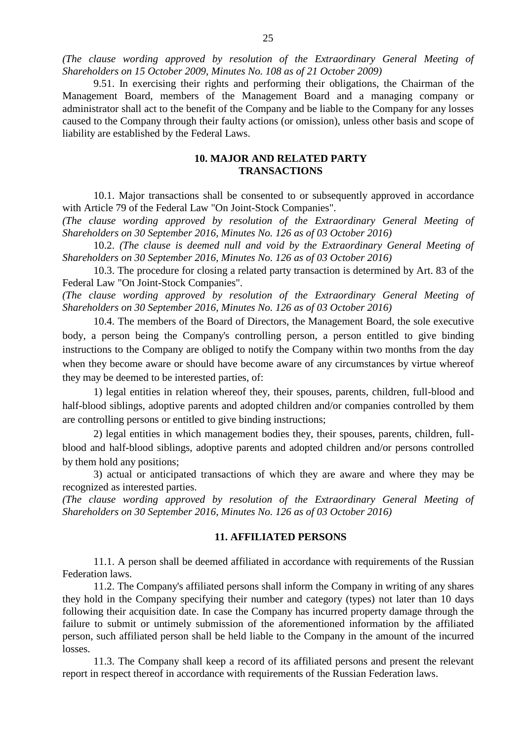*(The clause wording approved by resolution of the Extraordinary General Meeting of Shareholders on 15 October 2009, Minutes No. 108 as of 21 October 2009)*

9.51. In exercising their rights and performing their obligations, the Chairman of the Management Board, members of the Management Board and a managing company or administrator shall act to the benefit of the Company and be liable to the Company for any losses caused to the Company through their faulty actions (or omission), unless other basis and scope of liability are established by the Federal Laws.

# **10. MAJOR AND RELATED PARTY TRANSACTIONS**

10.1. Major transactions shall be consented to or subsequently approved in accordance with Article 79 of the Federal Law "On Joint-Stock Companies".

*(The clause wording approved by resolution of the Extraordinary General Meeting of Shareholders on 30 September 2016, Minutes No. 126 as of 03 October 2016)*

10.2. *(The clause is deemed null and void by the Extraordinary General Meeting of Shareholders on 30 September 2016, Minutes No. 126 as of 03 October 2016)*

10.3. The procedure for closing a related party transaction is determined by Art. 83 of the Federal Law "On Joint-Stock Companies".

*(The clause wording approved by resolution of the Extraordinary General Meeting of Shareholders on 30 September 2016, Minutes No. 126 as of 03 October 2016)*

10.4. The members of the Board of Directors, the Management Board, the sole executive body, a person being the Company's controlling person, a person entitled to give binding instructions to the Company are obliged to notify the Company within two months from the day when they become aware or should have become aware of any circumstances by virtue whereof they may be deemed to be interested parties, of:

1) legal entities in relation whereof they, their spouses, parents, children, full-blood and half-blood siblings, adoptive parents and adopted children and/or companies controlled by them are controlling persons or entitled to give binding instructions;

2) legal entities in which management bodies they, their spouses, parents, children, fullblood and half-blood siblings, adoptive parents and adopted children and/or persons controlled by them hold any positions;

3) actual or anticipated transactions of which they are aware and where they may be recognized as interested parties.

*(The clause wording approved by resolution of the Extraordinary General Meeting of Shareholders on 30 September 2016, Minutes No. 126 as of 03 October 2016)*

## **11. AFFILIATED PERSONS**

11.1. A person shall be deemed affiliated in accordance with requirements of the Russian Federation laws.

11.2. The Company's affiliated persons shall inform the Company in writing of any shares they hold in the Company specifying their number and category (types) not later than 10 days following their acquisition date. In case the Company has incurred property damage through the failure to submit or untimely submission of the aforementioned information by the affiliated person, such affiliated person shall be held liable to the Company in the amount of the incurred losses.

11.3. The Company shall keep a record of its affiliated persons and present the relevant report in respect thereof in accordance with requirements of the Russian Federation laws.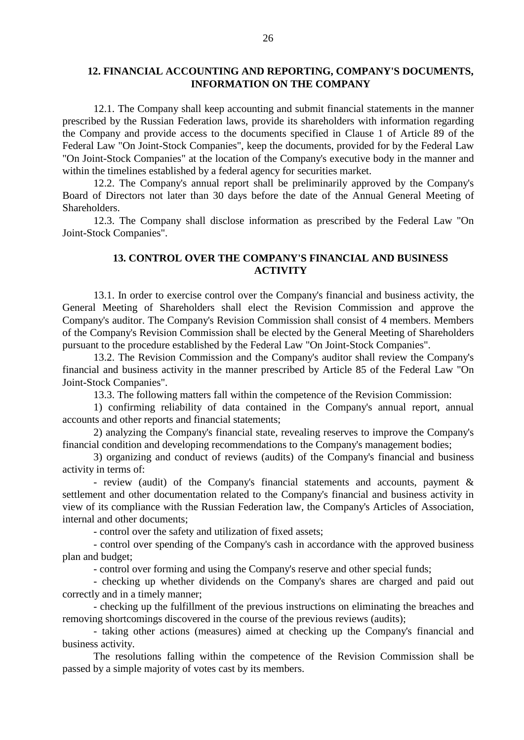## **12. FINANCIAL ACCOUNTING AND REPORTING, COMPANY'S DOCUMENTS, INFORMATION ON THE COMPANY**

12.1. The Company shall keep accounting and submit financial statements in the manner prescribed by the Russian Federation laws, provide its shareholders with information regarding the Company and provide access to the documents specified in Clause 1 of Article 89 of the Federal Law "On Joint-Stock Companies", keep the documents, provided for by the Federal Law "On Joint-Stock Companies" at the location of the Company's executive body in the manner and within the timelines established by a federal agency for securities market.

12.2. The Company's annual report shall be preliminarily approved by the Company's Board of Directors not later than 30 days before the date of the Annual General Meeting of Shareholders.

12.3. The Company shall disclose information as prescribed by the Federal Law "On Joint-Stock Companies".

# **13. CONTROL OVER THE COMPANY'S FINANCIAL AND BUSINESS ACTIVITY**

13.1. In order to exercise control over the Company's financial and business activity, the General Meeting of Shareholders shall elect the Revision Commission and approve the Company's auditor. The Company's Revision Commission shall consist of 4 members. Members of the Company's Revision Commission shall be elected by the General Meeting of Shareholders pursuant to the procedure established by the Federal Law "On Joint-Stock Companies".

13.2. The Revision Commission and the Company's auditor shall review the Company's financial and business activity in the manner prescribed by Article 85 of the Federal Law "On Joint-Stock Companies".

13.3. The following matters fall within the competence of the Revision Commission:

1) confirming reliability of data contained in the Company's annual report, annual accounts and other reports and financial statements;

2) analyzing the Company's financial state, revealing reserves to improve the Company's financial condition and developing recommendations to the Company's management bodies;

3) organizing and conduct of reviews (audits) of the Company's financial and business activity in terms of:

- review (audit) of the Company's financial statements and accounts, payment & settlement and other documentation related to the Company's financial and business activity in view of its compliance with the Russian Federation law, the Company's Articles of Association, internal and other documents;

- control over the safety and utilization of fixed assets;

- control over spending of the Company's cash in accordance with the approved business plan and budget;

- control over forming and using the Company's reserve and other special funds;

- checking up whether dividends on the Company's shares are charged and paid out correctly and in a timely manner;

- checking up the fulfillment of the previous instructions on eliminating the breaches and removing shortcomings discovered in the course of the previous reviews (audits);

- taking other actions (measures) aimed at checking up the Company's financial and business activity.

The resolutions falling within the competence of the Revision Commission shall be passed by a simple majority of votes cast by its members.